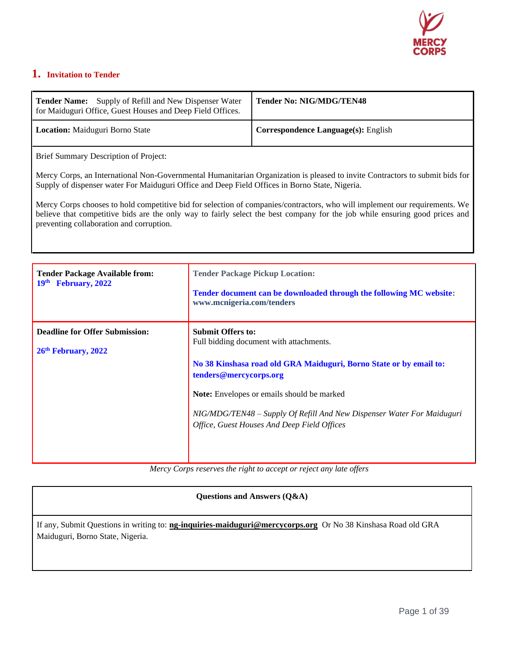

# **1. Invitation to Tender**

| <b>Tender Name:</b> Supply of Refill and New Dispenser Water<br>for Maiduguri Office, Guest Houses and Deep Field Offices. | <b>Tender No: NIG/MDG/TEN48</b>            |
|----------------------------------------------------------------------------------------------------------------------------|--------------------------------------------|
| <b>Location:</b> Maiduguri Borno State                                                                                     | <b>Correspondence Language(s): English</b> |

Brief Summary Description of Project:

Mercy Corps, an International Non-Governmental Humanitarian Organization is pleased to invite Contractors to submit bids for Supply of dispenser water For Maiduguri Office and Deep Field Offices in Borno State, Nigeria.

Mercy Corps chooses to hold competitive bid for selection of companies/contractors, who will implement our requirements. We believe that competitive bids are the only way to fairly select the best company for the job while ensuring good prices and preventing collaboration and corruption.

| <b>Tender Package Available from:</b>                        | <b>Tender Package Pickup Location:</b>                                                                                                                                                                                                                                                                                                            |
|--------------------------------------------------------------|---------------------------------------------------------------------------------------------------------------------------------------------------------------------------------------------------------------------------------------------------------------------------------------------------------------------------------------------------|
| February, 2022                                               | Tender document can be downloaded through the following MC website:                                                                                                                                                                                                                                                                               |
| 19 <sup>th</sup>                                             | www.mcnigeria.com/tenders                                                                                                                                                                                                                                                                                                                         |
| <b>Deadline for Offer Submission:</b><br>26th February, 2022 | <b>Submit Offers to:</b><br>Full bidding document with attachments.<br>No 38 Kinshasa road old GRA Maiduguri, Borno State or by email to:<br>tenders@mercycorps.org<br><b>Note:</b> Envelopes or emails should be marked<br>NIG/MDG/TEN48 - Supply Of Refill And New Dispenser Water For Maiduguri<br>Office, Guest Houses And Deep Field Offices |

*Mercy Corps reserves the right to accept or reject any late offers*

**Questions and Answers (Q&A)**

If any, Submit Questions in writing to: **[ng-inquiries-maiduguri@mercycorps.org](mailto:ng-inquiries-maiduguri@mercycorps.org)** Or No 38 Kinshasa Road old GRA Maiduguri, Borno State, Nigeria.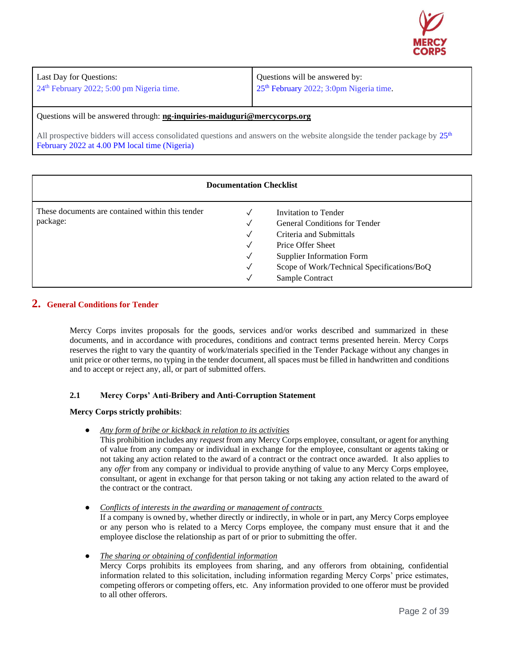

| Last Day for Questions:                     | Questions will be answered by:                      |
|---------------------------------------------|-----------------------------------------------------|
| $24th$ February 2022; 5:00 pm Nigeria time. | 25 <sup>th</sup> February 2022; 3:0pm Nigeria time. |
|                                             |                                                     |

Questions will be answered through: **[ng-inquiries-maiduguri@mercycorps.org](mailto:ng-inquiries-maiduguri@mercycorps.org)**

All prospective bidders will access consolidated questions and answers on the website alongside the tender package by  $25<sup>th</sup>$ February 2022 at 4.00 PM local time (Nigeria)

| <b>Documentation Checklist</b>                               |        |                                                                                                                                                                                                                   |  |  |
|--------------------------------------------------------------|--------|-------------------------------------------------------------------------------------------------------------------------------------------------------------------------------------------------------------------|--|--|
| These documents are contained within this tender<br>package: | √<br>√ | Invitation to Tender<br><b>General Conditions for Tender</b><br>Criteria and Submittals<br>Price Offer Sheet<br><b>Supplier Information Form</b><br>Scope of Work/Technical Specifications/BoQ<br>Sample Contract |  |  |

#### **2. General Conditions for Tender**

Mercy Corps invites proposals for the goods, services and/or works described and summarized in these documents, and in accordance with procedures, conditions and contract terms presented herein. Mercy Corps reserves the right to vary the quantity of work/materials specified in the Tender Package without any changes in unit price or other terms, no typing in the tender document, all spaces must be filled in handwritten and conditions and to accept or reject any, all, or part of submitted offers.

#### **2.1 Mercy Corps' Anti-Bribery and Anti-Corruption Statement**

#### **Mercy Corps strictly prohibits**:

● *Any form of bribe or kickback in relation to its activities*

This prohibition includes any *request* from any Mercy Corps employee, consultant, or agent for anything of value from any company or individual in exchange for the employee, consultant or agents taking or not taking any action related to the award of a contract or the contract once awarded. It also applies to any *offer* from any company or individual to provide anything of value to any Mercy Corps employee, consultant, or agent in exchange for that person taking or not taking any action related to the award of the contract or the contract.

● *Conflicts of interests in the awarding or management of contracts*

If a company is owned by, whether directly or indirectly, in whole or in part, any Mercy Corps employee or any person who is related to a Mercy Corps employee, the company must ensure that it and the employee disclose the relationship as part of or prior to submitting the offer.

● *The sharing or obtaining of confidential information* Mercy Corps prohibits its employees from sharing, and any offerors from obtaining, confidential information related to this solicitation, including information regarding Mercy Corps' price estimates, competing offerors or competing offers, etc. Any information provided to one offeror must be provided to all other offerors.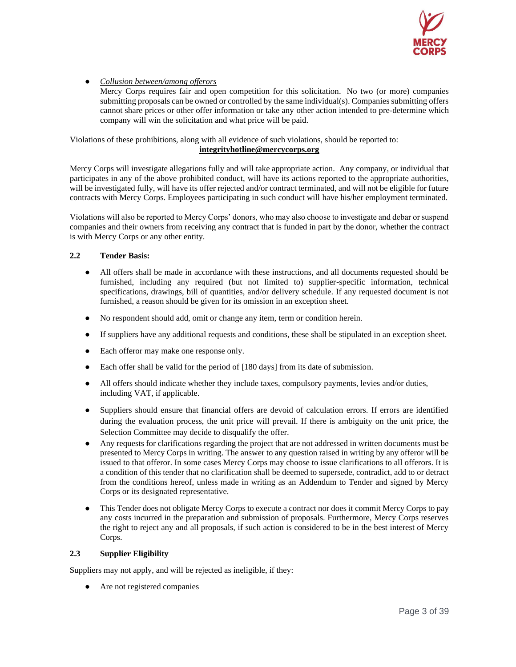

● *Collusion between/among offerors*

Mercy Corps requires fair and open competition for this solicitation. No two (or more) companies submitting proposals can be owned or controlled by the same individual(s). Companies submitting offers cannot share prices or other offer information or take any other action intended to pre-determine which company will win the solicitation and what price will be paid.

Violations of these prohibitions, along with all evidence of such violations, should be reported to: **[integrityhotline@mercycorps.org](mailto:integrityhotline@mercycorps.org)**

Mercy Corps will investigate allegations fully and will take appropriate action. Any company, or individual that participates in any of the above prohibited conduct, will have its actions reported to the appropriate authorities, will be investigated fully, will have its offer rejected and/or contract terminated, and will not be eligible for future contracts with Mercy Corps. Employees participating in such conduct will have his/her employment terminated.

Violations will also be reported to Mercy Corps' donors, who may also choose to investigate and debar or suspend companies and their owners from receiving any contract that is funded in part by the donor, whether the contract is with Mercy Corps or any other entity.

#### **2.2 Tender Basis:**

- All offers shall be made in accordance with these instructions, and all documents requested should be furnished, including any required (but not limited to) supplier-specific information, technical specifications, drawings, bill of quantities, and/or delivery schedule. If any requested document is not furnished, a reason should be given for its omission in an exception sheet.
- No respondent should add, omit or change any item, term or condition herein.
- If suppliers have any additional requests and conditions, these shall be stipulated in an exception sheet.
- Each offeror may make one response only.
- Each offer shall be valid for the period of [180 days] from its date of submission.
- All offers should indicate whether they include taxes, compulsory payments, levies and/or duties, including VAT, if applicable.
- Suppliers should ensure that financial offers are devoid of calculation errors. If errors are identified during the evaluation process, the unit price will prevail. If there is ambiguity on the unit price, the Selection Committee may decide to disqualify the offer.
- Any requests for clarifications regarding the project that are not addressed in written documents must be presented to Mercy Corps in writing. The answer to any question raised in writing by any offeror will be issued to that offeror. In some cases Mercy Corps may choose to issue clarifications to all offerors. It is a condition of this tender that no clarification shall be deemed to supersede, contradict, add to or detract from the conditions hereof, unless made in writing as an Addendum to Tender and signed by Mercy Corps or its designated representative.
- This Tender does not obligate Mercy Corps to execute a contract nor does it commit Mercy Corps to pay any costs incurred in the preparation and submission of proposals. Furthermore, Mercy Corps reserves the right to reject any and all proposals, if such action is considered to be in the best interest of Mercy Corps.

#### **2.3 Supplier Eligibility**

Suppliers may not apply, and will be rejected as ineligible, if they:

Are not registered companies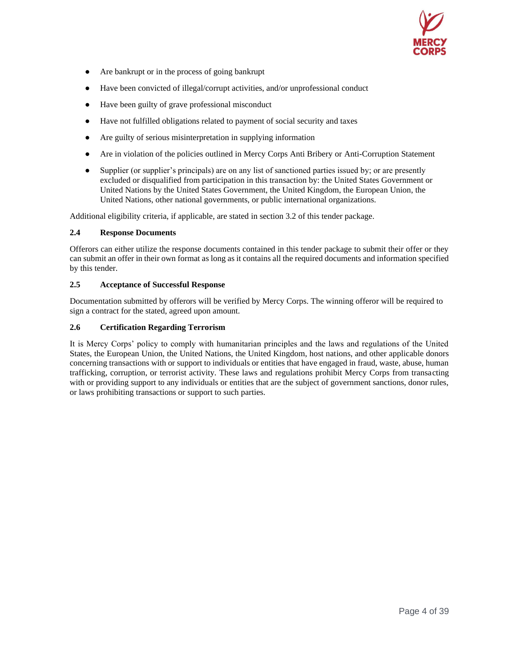

- Are bankrupt or in the process of going bankrupt
- Have been convicted of illegal/corrupt activities, and/or unprofessional conduct
- Have been guilty of grave professional misconduct
- Have not fulfilled obligations related to payment of social security and taxes
- Are guilty of serious misinterpretation in supplying information
- Are in violation of the policies outlined in Mercy Corps Anti Bribery or Anti-Corruption Statement
- Supplier (or supplier's principals) are on any list of sanctioned parties issued by; or are presently excluded or disqualified from participation in this transaction by: the United States Government or United Nations by the United States Government, the United Kingdom, the European Union, the United Nations, other national governments, or public international organizations.

Additional eligibility criteria, if applicable, are stated in section 3.2 of this tender package.

#### **2.4 Response Documents**

Offerors can either utilize the response documents contained in this tender package to submit their offer or they can submit an offer in their own format as long as it contains all the required documents and information specified by this tender.

#### **2.5 Acceptance of Successful Response**

Documentation submitted by offerors will be verified by Mercy Corps. The winning offeror will be required to sign a contract for the stated, agreed upon amount.

#### **2.6 Certification Regarding Terrorism**

It is Mercy Corps' policy to comply with humanitarian principles and the laws and regulations of the United States, the European Union, the United Nations, the United Kingdom, host nations, and other applicable donors concerning transactions with or support to individuals or entities that have engaged in fraud, waste, abuse, human trafficking, corruption, or terrorist activity. These laws and regulations prohibit Mercy Corps from transacting with or providing support to any individuals or entities that are the subject of government sanctions, donor rules, or laws prohibiting transactions or support to such parties.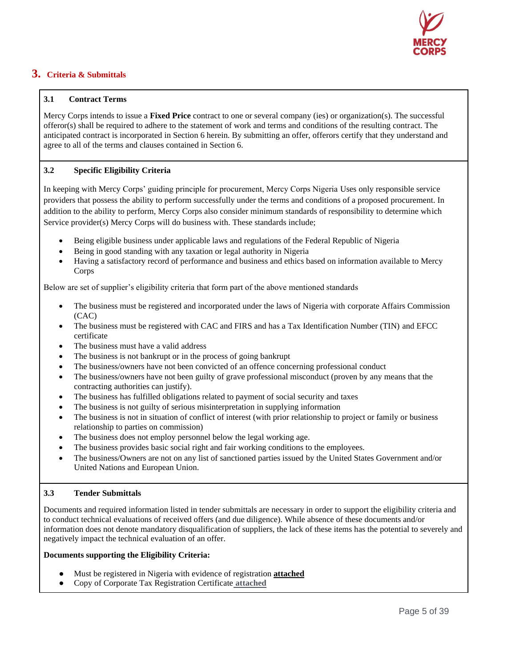

# **3. Criteria & Submittals**

### **3.1 Contract Terms**

Mercy Corps intends to issue a **Fixed Price** contract to one or several company (ies) or organization(s). The successful offeror(s) shall be required to adhere to the statement of work and terms and conditions of the resulting contract. The anticipated contract is incorporated in Section 6 herein. By submitting an offer, offerors certify that they understand and agree to all of the terms and clauses contained in Section 6.

### **3.2 Specific Eligibility Criteria**

In keeping with Mercy Corps' guiding principle for procurement, Mercy Corps Nigeria Uses only responsible service providers that possess the ability to perform successfully under the terms and conditions of a proposed procurement. In addition to the ability to perform, Mercy Corps also consider minimum standards of responsibility to determine which Service provider(s) Mercy Corps will do business with. These standards include;

- Being eligible business under applicable laws and regulations of the Federal Republic of Nigeria
- Being in good standing with any taxation or legal authority in Nigeria
- Having a satisfactory record of performance and business and ethics based on information available to Mercy Corps

Below are set of supplier's eligibility criteria that form part of the above mentioned standards

- The business must be registered and incorporated under the laws of Nigeria with corporate Affairs Commission (CAC)
- The business must be registered with CAC and FIRS and has a Tax Identification Number (TIN) and EFCC certificate
- The business must have a valid address
- The business is not bankrupt or in the process of going bankrupt
- The business/owners have not been convicted of an offence concerning professional conduct
- The business/owners have not been guilty of grave professional misconduct (proven by any means that the contracting authorities can justify).
- The business has fulfilled obligations related to payment of social security and taxes
- The business is not guilty of serious misinterpretation in supplying information
- The business is not in situation of conflict of interest (with prior relationship to project or family or business relationship to parties on commission)
- The business does not employ personnel below the legal working age.
- The business provides basic social right and fair working conditions to the employees.
- The business/Owners are not on any list of sanctioned parties issued by the United States Government and/or United Nations and European Union.

#### **3.3 Tender Submittals**

Documents and required information listed in tender submittals are necessary in order to support the eligibility criteria and to conduct technical evaluations of received offers (and due diligence). While absence of these documents and/or information does not denote mandatory disqualification of suppliers, the lack of these items has the potential to severely and negatively impact the technical evaluation of an offer.

#### **Documents supporting the Eligibility Criteria:**

- Must be registered in Nigeria with evidence of registration **attached**
- Copy of Corporate Tax Registration Certificate **attached**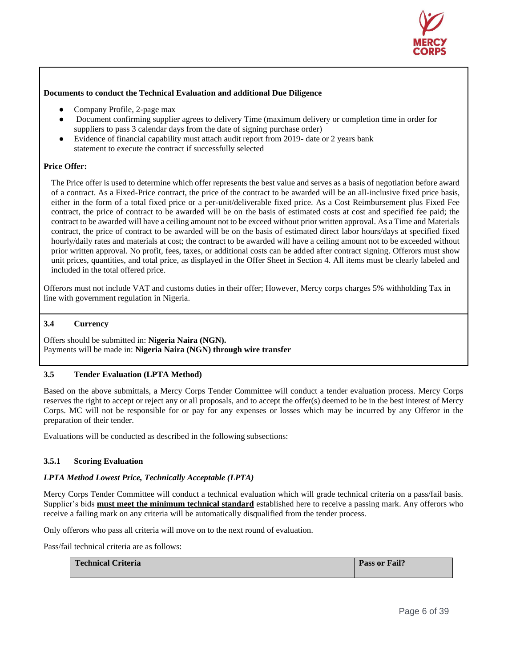

#### **Documents to conduct the Technical Evaluation and additional Due Diligence**

- Company Profile, 2-page max
- Document confirming supplier agrees to delivery Time (maximum delivery or completion time in order for suppliers to pass 3 calendar days from the date of signing purchase order)
- Evidence of financial capability must attach audit report from 2019- date or 2 years bank statement to execute the contract if successfully selected

#### **Price Offer:**

The Price offer is used to determine which offer represents the best value and serves as a basis of negotiation before award of a contract. As a Fixed-Price contract, the price of the contract to be awarded will be an all-inclusive fixed price basis, either in the form of a total fixed price or a per-unit/deliverable fixed price. As a Cost Reimbursement plus Fixed Fee contract, the price of contract to be awarded will be on the basis of estimated costs at cost and specified fee paid; the contract to be awarded will have a ceiling amount not to be exceed without prior written approval. As a Time and Materials contract, the price of contract to be awarded will be on the basis of estimated direct labor hours/days at specified fixed hourly/daily rates and materials at cost; the contract to be awarded will have a ceiling amount not to be exceeded without prior written approval. No profit, fees, taxes, or additional costs can be added after contract signing. Offerors must show unit prices, quantities, and total price, as displayed in the Offer Sheet in Section 4. All items must be clearly labeled and included in the total offered price.

Offerors must not include VAT and customs duties in their offer; However, Mercy corps charges 5% withholding Tax in line with government regulation in Nigeria.

#### **3.4 Currency**

Offers should be submitted in: **Nigeria Naira (NGN).** Payments will be made in: **Nigeria Naira (NGN) through wire transfer**

#### **3.5 Tender Evaluation (LPTA Method)**

Based on the above submittals, a Mercy Corps Tender Committee will conduct a tender evaluation process. Mercy Corps reserves the right to accept or reject any or all proposals, and to accept the offer(s) deemed to be in the best interest of Mercy Corps. MC will not be responsible for or pay for any expenses or losses which may be incurred by any Offeror in the preparation of their tender.

Evaluations will be conducted as described in the following subsections:

#### **3.5.1 Scoring Evaluation**

#### *LPTA Method Lowest Price, Technically Acceptable (LPTA)*

Mercy Corps Tender Committee will conduct a technical evaluation which will grade technical criteria on a pass/fail basis. Supplier's bids **must meet the minimum technical standard** established here to receive a passing mark. Any offerors who receive a failing mark on any criteria will be automatically disqualified from the tender process.

Only offerors who pass all criteria will move on to the next round of evaluation.

Pass/fail technical criteria are as follows:

| <b>Technical Criteria</b> | <b>Pass or Fail?</b> |
|---------------------------|----------------------|
|                           |                      |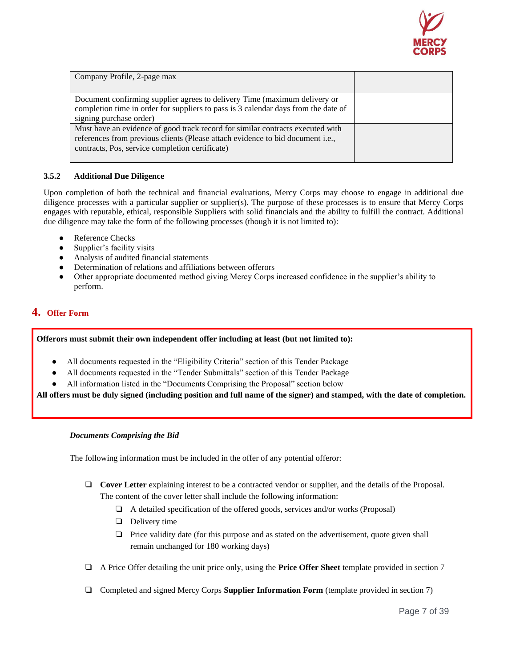

| Company Profile, 2-page max                                                                                                                                                                                         |  |
|---------------------------------------------------------------------------------------------------------------------------------------------------------------------------------------------------------------------|--|
| Document confirming supplier agrees to delivery Time (maximum delivery or<br>completion time in order for suppliers to pass is 3 calendar days from the date of<br>signing purchase order)                          |  |
| Must have an evidence of good track record for similar contracts executed with<br>references from previous clients (Please attach evidence to bid document i.e.,<br>contracts, Pos, service completion certificate) |  |

## **3.5.2 Additional Due Diligence**

Upon completion of both the technical and financial evaluations, Mercy Corps may choose to engage in additional due diligence processes with a particular supplier or supplier(s). The purpose of these processes is to ensure that Mercy Corps engages with reputable, ethical, responsible Suppliers with solid financials and the ability to fulfill the contract. Additional due diligence may take the form of the following processes (though it is not limited to):

- Reference Checks
- Supplier's facility visits
- Analysis of audited financial statements
- Determination of relations and affiliations between offerors
- Other appropriate documented method giving Mercy Corps increased confidence in the supplier's ability to perform.

# **4. Offer Form**

### **Offerors must submit their own independent offer including at least (but not limited to):**

- All documents requested in the "Eligibility Criteria" section of this Tender Package
- All documents requested in the "Tender Submittals" section of this Tender Package
- All information listed in the "Documents Comprising the Proposal" section below

**All offers must be duly signed (including position and full name of the signer) and stamped, with the date of completion.**

#### *Documents Comprising the Bid*

The following information must be included in the offer of any potential offeror:

- ❏ **Cover Letter** explaining interest to be a contracted vendor or supplier, and the details of the Proposal. The content of the cover letter shall include the following information:
	- ❏ A detailed specification of the offered goods, services and/or works (Proposal)
	- ❏ Delivery time
	- ❏ Price validity date (for this purpose and as stated on the advertisement, quote given shall remain unchanged for 180 working days)
- ❏ A Price Offer detailing the unit price only, using the **Price Offer Sheet** template provided in section 7
- ❏ Completed and signed Mercy Corps **Supplier Information Form** (template provided in section 7)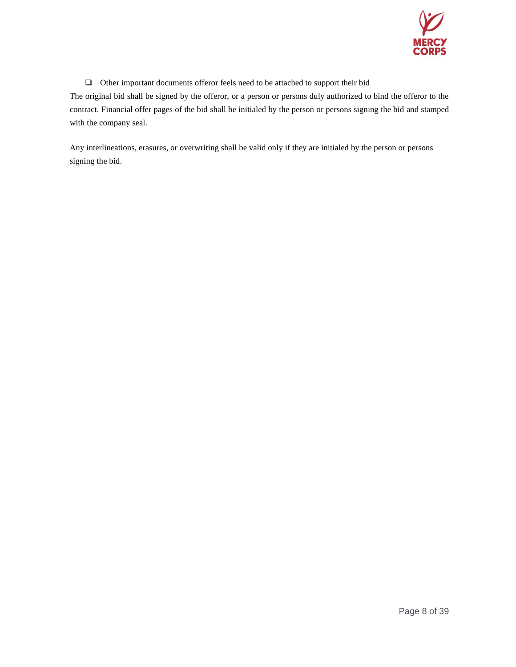

❏ Other important documents offeror feels need to be attached to support their bid

The original bid shall be signed by the offeror, or a person or persons duly authorized to bind the offeror to the contract. Financial offer pages of the bid shall be initialed by the person or persons signing the bid and stamped with the company seal.

Any interlineations, erasures, or overwriting shall be valid only if they are initialed by the person or persons signing the bid.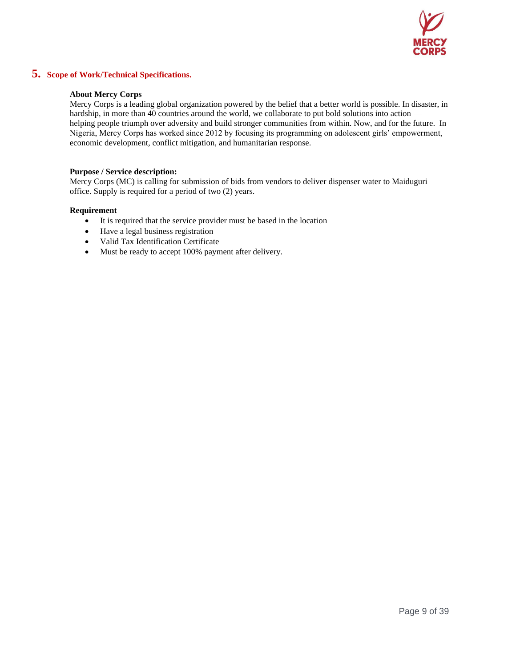

# **5. Scope of Work/Technical Specifications.**

#### **About Mercy Corps**

Mercy Corps is a leading global organization powered by the belief that a better world is possible. In disaster, in hardship, in more than 40 countries around the world, we collaborate to put bold solutions into action helping people triumph over adversity and build stronger communities from within. Now, and for the future. In Nigeria, Mercy Corps has worked since 2012 by focusing its programming on adolescent girls' empowerment, economic development, conflict mitigation, and humanitarian response.

#### **Purpose / Service description:**

Mercy Corps (MC) is calling for submission of bids from vendors to deliver dispenser water to Maiduguri office. Supply is required for a period of two (2) years.

#### **Requirement**

- It is required that the service provider must be based in the location
- Have a legal business registration
- Valid Tax Identification Certificate
- Must be ready to accept 100% payment after delivery.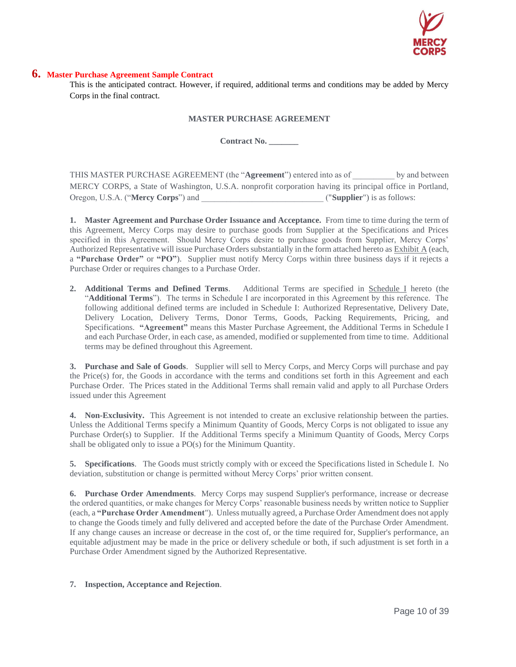

#### **6. Master Purchase Agreement Sample Contract**

This is the anticipated contract. However, if required, additional terms and conditions may be added by Mercy Corps in the final contract.

#### **MASTER PURCHASE AGREEMENT**

**Contract No. \_\_\_\_\_\_\_**

THIS MASTER PURCHASE AGREEMENT (the "**Agreement**") entered into as of \_\_\_\_\_\_\_\_\_\_ by and between MERCY CORPS, a State of Washington, U.S.A. nonprofit corporation having its principal office in Portland, Oregon, U.S.A. ("**Mercy Corps**") and  $($ "**Supplier**") is as follows:

**1. Master Agreement and Purchase Order Issuance and Acceptance.** From time to time during the term of this Agreement, Mercy Corps may desire to purchase goods from Supplier at the Specifications and Prices specified in this Agreement. Should Mercy Corps desire to purchase goods from Supplier, Mercy Corps' Authorized Representative will issue Purchase Orders substantially in the form attached hereto as Exhibit A (each, a **"Purchase Order"** or **"PO"**). Supplier must notify Mercy Corps within three business days if it rejects a Purchase Order or requires changes to a Purchase Order.

**2. Additional Terms and Defined Terms**. Additional Terms are specified in Schedule I hereto (the "**Additional Terms**"). The terms in Schedule I are incorporated in this Agreement by this reference. The following additional defined terms are included in Schedule I: Authorized Representative, Delivery Date, Delivery Location, Delivery Terms, Donor Terms, Goods, Packing Requirements, Pricing, and Specifications. **"Agreement"** means this Master Purchase Agreement, the Additional Terms in Schedule I and each Purchase Order, in each case, as amended, modified or supplemented from time to time. Additional terms may be defined throughout this Agreement.

**3. Purchase and Sale of Goods**. Supplier will sell to Mercy Corps, and Mercy Corps will purchase and pay the Price(s) for, the Goods in accordance with the terms and conditions set forth in this Agreement and each Purchase Order. The Prices stated in the Additional Terms shall remain valid and apply to all Purchase Orders issued under this Agreement

**4. Non-Exclusivity.** This Agreement is not intended to create an exclusive relationship between the parties. Unless the Additional Terms specify a Minimum Quantity of Goods, Mercy Corps is not obligated to issue any Purchase Order(s) to Supplier. If the Additional Terms specify a Minimum Quantity of Goods, Mercy Corps shall be obligated only to issue a PO(s) for the Minimum Quantity.

**5. Specifications**. The Goods must strictly comply with or exceed the Specifications listed in Schedule I. No deviation, substitution or change is permitted without Mercy Corps' prior written consent.

**6. Purchase Order Amendments**. Mercy Corps may suspend Supplier's performance, increase or decrease the ordered quantities, or make changes for Mercy Corps' reasonable business needs by written notice to Supplier (each, a **"Purchase Order Amendment**"). Unless mutually agreed, a Purchase Order Amendment does not apply to change the Goods timely and fully delivered and accepted before the date of the Purchase Order Amendment. If any change causes an increase or decrease in the cost of, or the time required for, Supplier's performance, an equitable adjustment may be made in the price or delivery schedule or both, if such adjustment is set forth in a Purchase Order Amendment signed by the Authorized Representative.

#### **7. Inspection, Acceptance and Rejection**.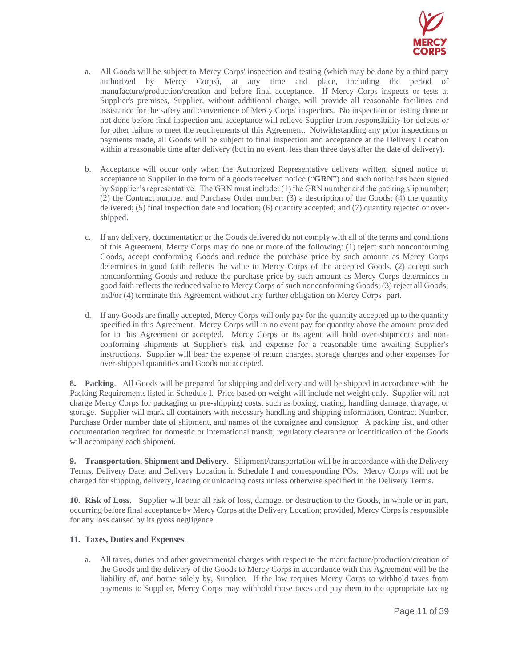

- a. All Goods will be subject to Mercy Corps' inspection and testing (which may be done by a third party authorized by Mercy Corps), at any time and place, including the period of manufacture/production/creation and before final acceptance. If Mercy Corps inspects or tests at Supplier's premises, Supplier, without additional charge, will provide all reasonable facilities and assistance for the safety and convenience of Mercy Corps' inspectors. No inspection or testing done or not done before final inspection and acceptance will relieve Supplier from responsibility for defects or for other failure to meet the requirements of this Agreement. Notwithstanding any prior inspections or payments made, all Goods will be subject to final inspection and acceptance at the Delivery Location within a reasonable time after delivery (but in no event, less than three days after the date of delivery).
- b. Acceptance will occur only when the Authorized Representative delivers written, signed notice of acceptance to Supplier in the form of a goods received notice ("**GRN**") and such notice has been signed by Supplier's representative. The GRN must include: (1) the GRN number and the packing slip number; (2) the Contract number and Purchase Order number; (3) a description of the Goods; (4) the quantity delivered; (5) final inspection date and location; (6) quantity accepted; and (7) quantity rejected or overshipped.
- c. If any delivery, documentation or the Goods delivered do not comply with all of the terms and conditions of this Agreement, Mercy Corps may do one or more of the following: (1) reject such nonconforming Goods, accept conforming Goods and reduce the purchase price by such amount as Mercy Corps determines in good faith reflects the value to Mercy Corps of the accepted Goods, (2) accept such nonconforming Goods and reduce the purchase price by such amount as Mercy Corps determines in good faith reflects the reduced value to Mercy Corps of such nonconforming Goods; (3) reject all Goods; and/or (4) terminate this Agreement without any further obligation on Mercy Corps' part.
- d. If any Goods are finally accepted, Mercy Corps will only pay for the quantity accepted up to the quantity specified in this Agreement. Mercy Corps will in no event pay for quantity above the amount provided for in this Agreement or accepted. Mercy Corps or its agent will hold over-shipments and nonconforming shipments at Supplier's risk and expense for a reasonable time awaiting Supplier's instructions. Supplier will bear the expense of return charges, storage charges and other expenses for over-shipped quantities and Goods not accepted.

**8. Packing**. All Goods will be prepared for shipping and delivery and will be shipped in accordance with the Packing Requirements listed in Schedule I. Price based on weight will include net weight only. Supplier will not charge Mercy Corps for packaging or pre-shipping costs, such as boxing, crating, handling damage, drayage, or storage. Supplier will mark all containers with necessary handling and shipping information, Contract Number, Purchase Order number date of shipment, and names of the consignee and consignor. A packing list, and other documentation required for domestic or international transit, regulatory clearance or identification of the Goods will accompany each shipment.

**9. Transportation, Shipment and Delivery**. Shipment/transportation will be in accordance with the Delivery Terms, Delivery Date, and Delivery Location in Schedule I and corresponding POs. Mercy Corps will not be charged for shipping, delivery, loading or unloading costs unless otherwise specified in the Delivery Terms.

**10. Risk of Loss**. Supplier will bear all risk of loss, damage, or destruction to the Goods, in whole or in part, occurring before final acceptance by Mercy Corps at the Delivery Location; provided, Mercy Corps is responsible for any loss caused by its gross negligence.

#### **11. Taxes, Duties and Expenses**.

a. All taxes, duties and other governmental charges with respect to the manufacture/production/creation of the Goods and the delivery of the Goods to Mercy Corps in accordance with this Agreement will be the liability of, and borne solely by, Supplier. If the law requires Mercy Corps to withhold taxes from payments to Supplier, Mercy Corps may withhold those taxes and pay them to the appropriate taxing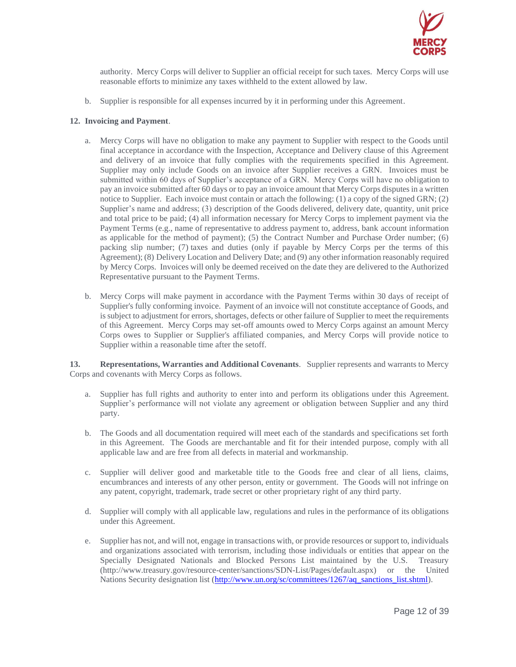

authority. Mercy Corps will deliver to Supplier an official receipt for such taxes. Mercy Corps will use reasonable efforts to minimize any taxes withheld to the extent allowed by law.

b. Supplier is responsible for all expenses incurred by it in performing under this Agreement.

### **12. Invoicing and Payment**.

- a. Mercy Corps will have no obligation to make any payment to Supplier with respect to the Goods until final acceptance in accordance with the Inspection, Acceptance and Delivery clause of this Agreement and delivery of an invoice that fully complies with the requirements specified in this Agreement. Supplier may only include Goods on an invoice after Supplier receives a GRN. Invoices must be submitted within 60 days of Supplier's acceptance of a GRN. Mercy Corps will have no obligation to pay an invoice submitted after 60 days or to pay an invoice amount that Mercy Corps disputes in a written notice to Supplier. Each invoice must contain or attach the following: (1) a copy of the signed GRN; (2) Supplier's name and address; (3) description of the Goods delivered, delivery date, quantity, unit price and total price to be paid; (4) all information necessary for Mercy Corps to implement payment via the Payment Terms (e.g., name of representative to address payment to, address, bank account information as applicable for the method of payment); (5) the Contract Number and Purchase Order number; (6) packing slip number; (7) taxes and duties (only if payable by Mercy Corps per the terms of this Agreement); (8) Delivery Location and Delivery Date; and (9) any other information reasonably required by Mercy Corps. Invoices will only be deemed received on the date they are delivered to the Authorized Representative pursuant to the Payment Terms.
- b. Mercy Corps will make payment in accordance with the Payment Terms within 30 days of receipt of Supplier's fully conforming invoice. Payment of an invoice will not constitute acceptance of Goods, and is subject to adjustment for errors, shortages, defects or other failure of Supplier to meet the requirements of this Agreement. Mercy Corps may set-off amounts owed to Mercy Corps against an amount Mercy Corps owes to Supplier or Supplier's affiliated companies, and Mercy Corps will provide notice to Supplier within a reasonable time after the setoff.

**13. Representations, Warranties and Additional Covenants**. Supplier represents and warrants to Mercy Corps and covenants with Mercy Corps as follows.

- a. Supplier has full rights and authority to enter into and perform its obligations under this Agreement. Supplier's performance will not violate any agreement or obligation between Supplier and any third party.
- b. The Goods and all documentation required will meet each of the standards and specifications set forth in this Agreement. The Goods are merchantable and fit for their intended purpose, comply with all applicable law and are free from all defects in material and workmanship.
- c. Supplier will deliver good and marketable title to the Goods free and clear of all liens, claims, encumbrances and interests of any other person, entity or government. The Goods will not infringe on any patent, copyright, trademark, trade secret or other proprietary right of any third party.
- d. Supplier will comply with all applicable law, regulations and rules in the performance of its obligations under this Agreement.
- e. Supplier has not, and will not, engage in transactions with, or provide resources or support to, individuals and organizations associated with terrorism, including those individuals or entities that appear on the Specially Designated Nationals and Blocked Persons List maintained by the U.S. Treasury (http://www.treasury.gov/resource-center/sanctions/SDN-List/Pages/default.aspx) or the United Nations Security designation list [\(http://www.un.org/sc/committees/1267/aq\\_sanctions\\_list.shtml\)](http://www.un.org/sc/committees/1267/aq_sanctions_list.shtml).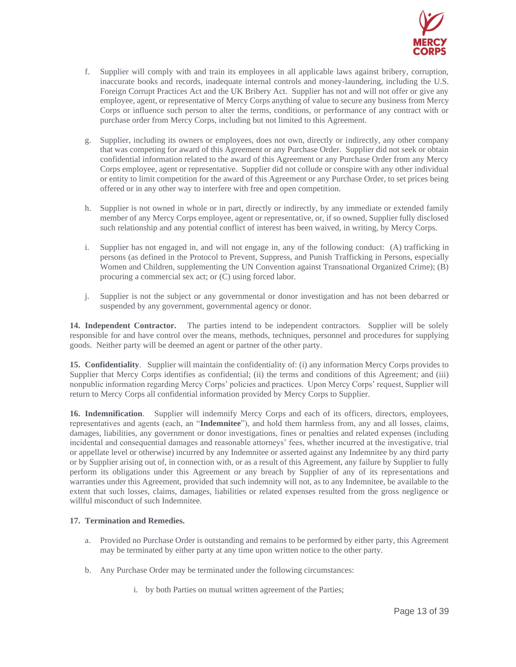

- f. Supplier will comply with and train its employees in all applicable laws against bribery, corruption, inaccurate books and records, inadequate internal controls and money-laundering, including the U.S. Foreign Corrupt Practices Act and the UK Bribery Act. Supplier has not and will not offer or give any employee, agent, or representative of Mercy Corps anything of value to secure any business from Mercy Corps or influence such person to alter the terms, conditions, or performance of any contract with or purchase order from Mercy Corps, including but not limited to this Agreement.
- g. Supplier, including its owners or employees, does not own, directly or indirectly, any other company that was competing for award of this Agreement or any Purchase Order. Supplier did not seek or obtain confidential information related to the award of this Agreement or any Purchase Order from any Mercy Corps employee, agent or representative. Supplier did not collude or conspire with any other individual or entity to limit competition for the award of this Agreement or any Purchase Order, to set prices being offered or in any other way to interfere with free and open competition.
- h. Supplier is not owned in whole or in part, directly or indirectly, by any immediate or extended family member of any Mercy Corps employee, agent or representative, or, if so owned, Supplier fully disclosed such relationship and any potential conflict of interest has been waived, in writing, by Mercy Corps.
- i. Supplier has not engaged in, and will not engage in, any of the following conduct: (A) trafficking in persons (as defined in the Protocol to Prevent, Suppress, and Punish Trafficking in Persons, especially Women and Children, supplementing the UN Convention against Transnational Organized Crime); (B) procuring a commercial sex act; or (C) using forced labor.
- j. Supplier is not the subject or any governmental or donor investigation and has not been debarred or suspended by any government, governmental agency or donor.

**14. Independent Contractor.** The parties intend to be independent contractors. Supplier will be solely responsible for and have control over the means, methods, techniques, personnel and procedures for supplying goods. Neither party will be deemed an agent or partner of the other party.

**15. Confidentiality**. Supplier will maintain the confidentiality of: (i) any information Mercy Corps provides to Supplier that Mercy Corps identifies as confidential; (ii) the terms and conditions of this Agreement; and (iii) nonpublic information regarding Mercy Corps' policies and practices. Upon Mercy Corps' request, Supplier will return to Mercy Corps all confidential information provided by Mercy Corps to Supplier.

**16. Indemnification**. Supplier will indemnify Mercy Corps and each of its officers, directors, employees, representatives and agents (each, an "**Indemnitee**"), and hold them harmless from, any and all losses, claims, damages, liabilities, any government or donor investigations, fines or penalties and related expenses (including incidental and consequential damages and reasonable attorneys' fees, whether incurred at the investigative, trial or appellate level or otherwise) incurred by any Indemnitee or asserted against any Indemnitee by any third party or by Supplier arising out of, in connection with, or as a result of this Agreement, any failure by Supplier to fully perform its obligations under this Agreement or any breach by Supplier of any of its representations and warranties under this Agreement, provided that such indemnity will not, as to any Indemnitee, be available to the extent that such losses, claims, damages, liabilities or related expenses resulted from the gross negligence or willful misconduct of such Indemnitee.

#### **17. Termination and Remedies.**

- a. Provided no Purchase Order is outstanding and remains to be performed by either party, this Agreement may be terminated by either party at any time upon written notice to the other party.
- b. Any Purchase Order may be terminated under the following circumstances:
	- i. by both Parties on mutual written agreement of the Parties;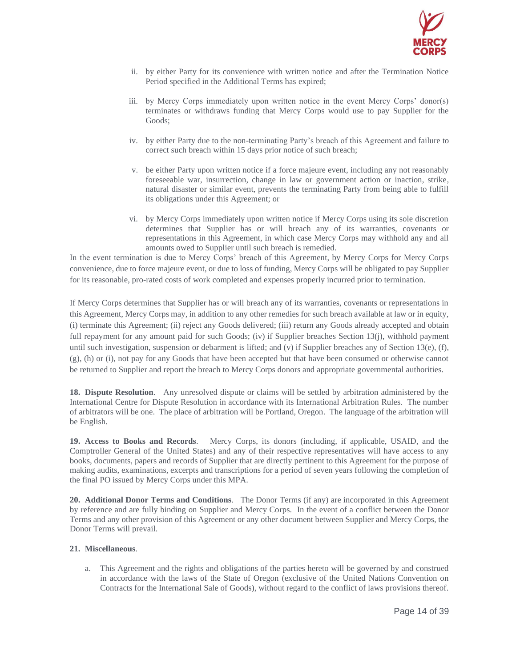

- ii. by either Party for its convenience with written notice and after the Termination Notice Period specified in the Additional Terms has expired;
- iii. by Mercy Corps immediately upon written notice in the event Mercy Corps' donor(s) terminates or withdraws funding that Mercy Corps would use to pay Supplier for the Goods;
- iv. by either Party due to the non-terminating Party's breach of this Agreement and failure to correct such breach within 15 days prior notice of such breach;
- v. be either Party upon written notice if a force majeure event, including any not reasonably foreseeable war, insurrection, change in law or government action or inaction, strike, natural disaster or similar event, prevents the terminating Party from being able to fulfill its obligations under this Agreement; or
- vi. by Mercy Corps immediately upon written notice if Mercy Corps using its sole discretion determines that Supplier has or will breach any of its warranties, covenants or representations in this Agreement, in which case Mercy Corps may withhold any and all amounts owed to Supplier until such breach is remedied.

In the event termination is due to Mercy Corps' breach of this Agreement, by Mercy Corps for Mercy Corps convenience, due to force majeure event, or due to loss of funding, Mercy Corps will be obligated to pay Supplier for its reasonable, pro-rated costs of work completed and expenses properly incurred prior to termination.

If Mercy Corps determines that Supplier has or will breach any of its warranties, covenants or representations in this Agreement, Mercy Corps may, in addition to any other remedies for such breach available at law or in equity, (i) terminate this Agreement; (ii) reject any Goods delivered; (iii) return any Goods already accepted and obtain full repayment for any amount paid for such Goods; (iv) if Supplier breaches Section 13(j), withhold payment until such investigation, suspension or debarment is lifted; and (v) if Supplier breaches any of Section 13(e), (f), (g), (h) or (i), not pay for any Goods that have been accepted but that have been consumed or otherwise cannot be returned to Supplier and report the breach to Mercy Corps donors and appropriate governmental authorities.

**18. Dispute Resolution**. Any unresolved dispute or claims will be settled by arbitration administered by the International Centre for Dispute Resolution in accordance with its International Arbitration Rules. The number of arbitrators will be one. The place of arbitration will be Portland, Oregon. The language of the arbitration will be English.

**19. Access to Books and Records**. Mercy Corps, its donors (including, if applicable, USAID, and the Comptroller General of the United States) and any of their respective representatives will have access to any books, documents, papers and records of Supplier that are directly pertinent to this Agreement for the purpose of making audits, examinations, excerpts and transcriptions for a period of seven years following the completion of the final PO issued by Mercy Corps under this MPA.

**20. Additional Donor Terms and Conditions**. The Donor Terms (if any) are incorporated in this Agreement by reference and are fully binding on Supplier and Mercy Corps. In the event of a conflict between the Donor Terms and any other provision of this Agreement or any other document between Supplier and Mercy Corps, the Donor Terms will prevail.

#### **21. Miscellaneous**.

a. This Agreement and the rights and obligations of the parties hereto will be governed by and construed in accordance with the laws of the State of Oregon (exclusive of the United Nations Convention on Contracts for the International Sale of Goods), without regard to the conflict of laws provisions thereof.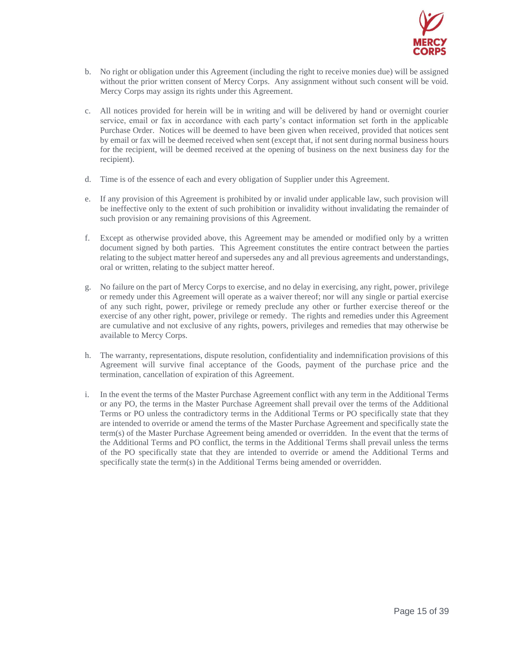

- b. No right or obligation under this Agreement (including the right to receive monies due) will be assigned without the prior written consent of Mercy Corps. Any assignment without such consent will be void. Mercy Corps may assign its rights under this Agreement.
- c. All notices provided for herein will be in writing and will be delivered by hand or overnight courier service, email or fax in accordance with each party's contact information set forth in the applicable Purchase Order. Notices will be deemed to have been given when received, provided that notices sent by email or fax will be deemed received when sent (except that, if not sent during normal business hours for the recipient, will be deemed received at the opening of business on the next business day for the recipient).
- d. Time is of the essence of each and every obligation of Supplier under this Agreement.
- e. If any provision of this Agreement is prohibited by or invalid under applicable law, such provision will be ineffective only to the extent of such prohibition or invalidity without invalidating the remainder of such provision or any remaining provisions of this Agreement.
- f. Except as otherwise provided above, this Agreement may be amended or modified only by a written document signed by both parties. This Agreement constitutes the entire contract between the parties relating to the subject matter hereof and supersedes any and all previous agreements and understandings, oral or written, relating to the subject matter hereof.
- g. No failure on the part of Mercy Corps to exercise, and no delay in exercising, any right, power, privilege or remedy under this Agreement will operate as a waiver thereof; nor will any single or partial exercise of any such right, power, privilege or remedy preclude any other or further exercise thereof or the exercise of any other right, power, privilege or remedy. The rights and remedies under this Agreement are cumulative and not exclusive of any rights, powers, privileges and remedies that may otherwise be available to Mercy Corps.
- h. The warranty, representations, dispute resolution, confidentiality and indemnification provisions of this Agreement will survive final acceptance of the Goods, payment of the purchase price and the termination, cancellation of expiration of this Agreement.
- i. In the event the terms of the Master Purchase Agreement conflict with any term in the Additional Terms or any PO, the terms in the Master Purchase Agreement shall prevail over the terms of the Additional Terms or PO unless the contradictory terms in the Additional Terms or PO specifically state that they are intended to override or amend the terms of the Master Purchase Agreement and specifically state the term(s) of the Master Purchase Agreement being amended or overridden. In the event that the terms of the Additional Terms and PO conflict, the terms in the Additional Terms shall prevail unless the terms of the PO specifically state that they are intended to override or amend the Additional Terms and specifically state the term(s) in the Additional Terms being amended or overridden.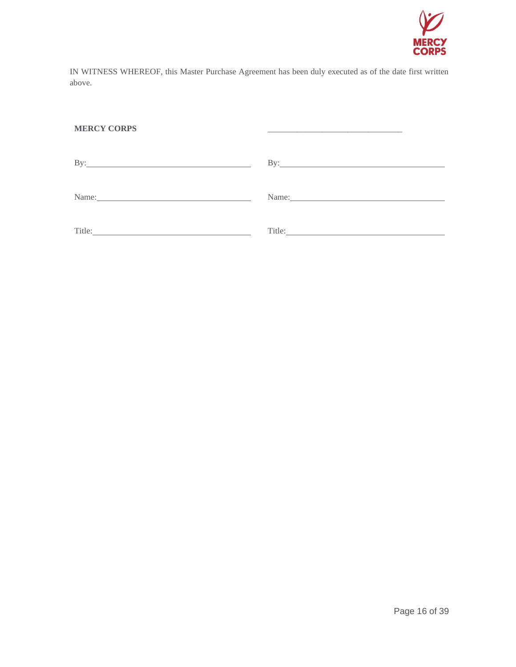

IN WITNESS WHEREOF, this Master Purchase Agreement has been duly executed as of the date first written above.

\_\_\_\_\_\_\_\_\_\_\_\_\_\_\_\_\_\_\_\_\_\_\_\_\_\_\_\_\_\_\_\_

### **MERCY CORPS**

| $\rm\,By:$<br><u> 1989 - Johann Barbara, martxa alemaniar arg</u> | By: $\qquad \qquad$ |
|-------------------------------------------------------------------|---------------------|
| Name:                                                             |                     |
| Title:                                                            | Title:              |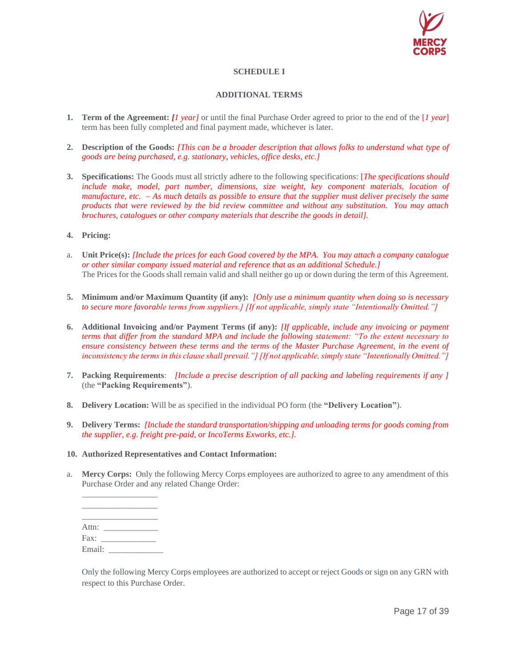

## **SCHEDULE I**

### **ADDITIONAL TERMS**

- **1. Term of the Agreement:** *[1 year]* or until the final Purchase Order agreed to prior to the end of the [*1 year*] term has been fully completed and final payment made, whichever is later.
- **2. Description of the Goods:** *[This can be a broader description that allows folks to understand what type of goods are being purchased, e.g. stationary, vehicles, office desks, etc.]*
- **3. Specifications:** The Goods must all strictly adhere to the following specifications: [*The specifications should include make, model, part number, dimensions, size weight, key component materials, location of manufacture, etc. – As much details as possible to ensure that the supplier must deliver precisely the same products that were reviewed by the bid review committee and without any substitution. You may attach brochures, catalogues or other company materials that describe the goods in detail].*
- **4. Pricing:**
- a. **Unit Price(s):** *[Include the prices for each Good covered by the MPA. You may attach a company catalogue or other similar company issued material and reference that as an additional Schedule.]* The Prices for the Goods shall remain valid and shall neither go up or down during the term of this Agreement.
- **5. Minimum and/or Maximum Quantity (if any):** *[Only use a minimum quantity when doing so is necessary to secure more favorable terms from suppliers.] [If not applicable, simply state "Intentionally Omitted."]*
- **6. Additional Invoicing and/or Payment Terms (if any):** *[If applicable, include any invoicing or payment terms that differ from the standard MPA and include the following statement: "To the extent necessary to ensure consistency between these terms and the terms of the Master Purchase Agreement, in the event of inconsistency the terms in this clause shall prevail."] [If not applicable, simply state "Intentionally Omitted."]*
- **7. Packing Requirements**: *[Include a precise description of all packing and labeling requirements if any ]* (the **"Packing Requirements"**).
- **8. Delivery Location:** Will be as specified in the individual PO form (the **"Delivery Location"**).
- **9. Delivery Terms:** *[Include the standard transportation/shipping and unloading terms for goods coming from the supplier, e.g. freight pre-paid, or IncoTerms Exworks, etc.].*
- **10. Authorized Representatives and Contact Information:**
- a. **Mercy Corps:** Only the following Mercy Corps employees are authorized to agree to any amendment of this Purchase Order and any related Change Order:

\_\_\_\_\_\_\_\_\_\_\_\_\_\_\_\_\_\_ \_\_\_\_\_\_\_\_\_\_\_\_\_\_\_\_\_\_ Attn: \_\_\_\_\_\_\_\_\_\_\_\_\_ Fax: \_\_\_\_\_\_\_\_\_\_\_\_\_ Email: \_\_\_\_\_\_\_\_\_\_\_\_\_

\_\_\_\_\_\_\_\_\_\_\_\_\_\_\_\_\_\_

Only the following Mercy Corps employees are authorized to accept or reject Goods or sign on any GRN with respect to this Purchase Order.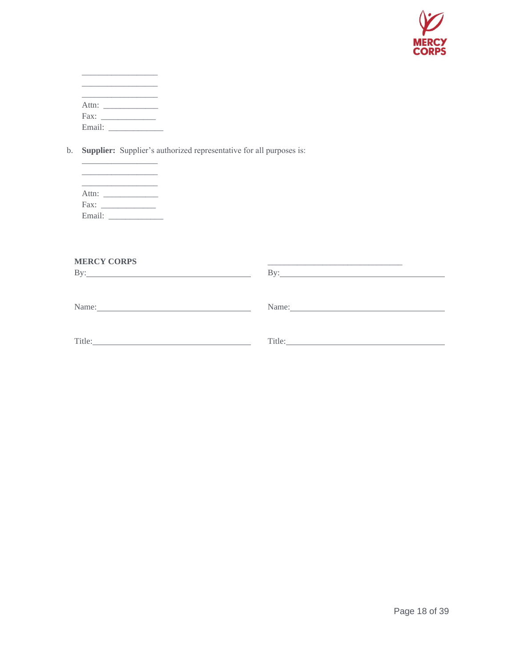

| Attn:  |  |  |  |
|--------|--|--|--|
| Fax:   |  |  |  |
| Email: |  |  |  |

b. **Supplier:** Supplier's authorized representative for all purposes is:

| Attn:  |  |  |  |
|--------|--|--|--|
| Fax:   |  |  |  |
| Email: |  |  |  |

\_\_\_\_\_\_\_\_\_\_\_\_\_\_\_\_\_\_

| <b>MERCY CORPS</b><br>$\mathbf{By:}\_\_\_\_\_\_\$                                                                                                                                                                             | $\mathbf{B} \mathbf{v}$ :                                                                                                                                                                                                      |
|-------------------------------------------------------------------------------------------------------------------------------------------------------------------------------------------------------------------------------|--------------------------------------------------------------------------------------------------------------------------------------------------------------------------------------------------------------------------------|
| Name: Name and the service of the service of the service of the service of the service of the service of the service of the service of the service of the service of the service of the service of the service of the service | Name: 2008. [2010] Name: 2008. [2010] 2010 2021 2022. [2010] 2012. [2010] 2012. [2010] 2012. [2010] 2012. [2010] 2012. [2010] 2012. [2010] 2012. [2010] 2012. [2010] 2012. [2010] 2012. [2010] 2012. [2010] 2012. [2010] 2012. |
| Title: Title:                                                                                                                                                                                                                 |                                                                                                                                                                                                                                |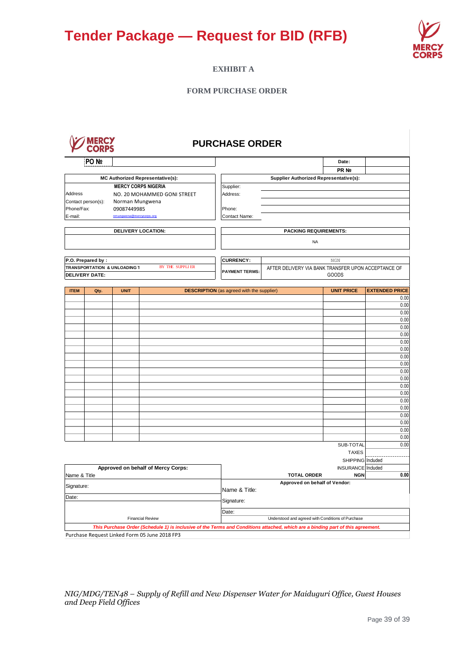

## **EXHIBIT A**

### **FORM PURCHASE ORDER**

| MEK<br>м. |
|-----------|
|           |

# **PURCHASE ORDER**

|                         | PO <sub>N</sub>       |                                         |                                                                                                                                 |                                                   |                                                     | Date:               |                       |
|-------------------------|-----------------------|-----------------------------------------|---------------------------------------------------------------------------------------------------------------------------------|---------------------------------------------------|-----------------------------------------------------|---------------------|-----------------------|
|                         |                       |                                         |                                                                                                                                 |                                                   |                                                     | PR Nº               |                       |
|                         |                       |                                         | <b>MC Authorized Representative(s):</b>                                                                                         |                                                   | Supplier Authorized Representative(s):              |                     |                       |
|                         |                       | <b>MERCY CORPS NIGERIA</b>              |                                                                                                                                 | Supplier:                                         |                                                     |                     |                       |
| Address                 |                       |                                         | NO. 20 MOHAMMED GONI STREET                                                                                                     | Address:                                          |                                                     |                     |                       |
| Phone/Fax:              | Contact person(s):    | Norman Mungwena                         |                                                                                                                                 | Phone:                                            |                                                     |                     |                       |
| E-mail:                 |                       | 09087449985<br>nmungwena@mercycorps.org |                                                                                                                                 | Contact Name:                                     |                                                     |                     |                       |
|                         |                       |                                         |                                                                                                                                 |                                                   |                                                     |                     |                       |
|                         |                       | DELIVERY LOCATION:                      |                                                                                                                                 |                                                   | <b>PACKING REQUIREMENTS:</b>                        |                     |                       |
|                         |                       |                                         |                                                                                                                                 |                                                   | <b>NA</b>                                           |                     |                       |
|                         | P.O. Prepared by:     |                                         |                                                                                                                                 | <b>CURRENCY:</b>                                  |                                                     | $_{\rm NGN}$        |                       |
|                         |                       | TRANSPORTATION & UNLOADING 1            | BY THE SUPPLIER                                                                                                                 |                                                   | AFTER DELIVERY VIA BANK TRANSFER UPON ACCEPTANCE OF |                     |                       |
|                         | <b>DELIVERY DATE:</b> |                                         |                                                                                                                                 | <b>PAYMENT TERMS:</b>                             |                                                     | <b>GOODS</b>        |                       |
|                         |                       |                                         |                                                                                                                                 |                                                   |                                                     |                     |                       |
| <b>ITEM</b>             | Qty.                  | <b>UNIT</b>                             |                                                                                                                                 | <b>DESCRIPTION</b> (as agreed with the supplier)  |                                                     | <b>UNIT PRICE</b>   | <b>EXTENDED PRICE</b> |
|                         |                       |                                         |                                                                                                                                 |                                                   |                                                     |                     | 0.00                  |
|                         |                       |                                         |                                                                                                                                 |                                                   |                                                     |                     | 0.00                  |
|                         |                       |                                         |                                                                                                                                 |                                                   |                                                     |                     | 0.00                  |
|                         |                       |                                         |                                                                                                                                 |                                                   |                                                     |                     | 0.00                  |
|                         |                       |                                         |                                                                                                                                 |                                                   |                                                     |                     | 0.00                  |
|                         |                       |                                         |                                                                                                                                 |                                                   |                                                     |                     | 0.00                  |
|                         |                       |                                         |                                                                                                                                 |                                                   |                                                     |                     | 0.00                  |
|                         |                       |                                         |                                                                                                                                 |                                                   |                                                     |                     | 0.00<br>0.00          |
|                         |                       |                                         |                                                                                                                                 |                                                   |                                                     |                     | 0.00                  |
|                         |                       |                                         |                                                                                                                                 |                                                   |                                                     |                     | 0.00                  |
|                         |                       |                                         |                                                                                                                                 |                                                   |                                                     |                     | 0.00                  |
|                         |                       |                                         |                                                                                                                                 |                                                   |                                                     |                     | 0.00                  |
|                         |                       |                                         |                                                                                                                                 |                                                   |                                                     |                     | 0.00                  |
|                         |                       |                                         |                                                                                                                                 |                                                   |                                                     |                     | 0.00                  |
|                         |                       |                                         |                                                                                                                                 |                                                   |                                                     |                     | 0.00                  |
|                         |                       |                                         |                                                                                                                                 |                                                   |                                                     |                     | 0.00                  |
|                         |                       |                                         |                                                                                                                                 |                                                   |                                                     |                     | 0.00                  |
|                         |                       |                                         |                                                                                                                                 |                                                   |                                                     |                     | 0.00                  |
|                         |                       |                                         |                                                                                                                                 |                                                   |                                                     |                     | 0.00                  |
|                         |                       |                                         |                                                                                                                                 |                                                   |                                                     | SUB-TOTAL           | 0.00                  |
|                         |                       |                                         |                                                                                                                                 |                                                   |                                                     | <b>TAXES</b>        |                       |
|                         |                       |                                         |                                                                                                                                 |                                                   |                                                     | SHIPPING   Included |                       |
|                         |                       |                                         | Approved on behalf of Mercy Corps:                                                                                              |                                                   |                                                     | INSURANCE Included  |                       |
| Name & Title            |                       |                                         |                                                                                                                                 |                                                   | <b>TOTAL ORDER</b>                                  | <b>NGN</b>          | 0.00                  |
| Signature:              |                       |                                         |                                                                                                                                 | Approved on behalf of Vendor:<br>Name & Title:    |                                                     |                     |                       |
| Date:                   |                       |                                         |                                                                                                                                 | Signature:                                        |                                                     |                     |                       |
|                         |                       |                                         |                                                                                                                                 | Date:                                             |                                                     |                     |                       |
| <b>Financial Review</b> |                       |                                         |                                                                                                                                 | Understood and agreed with Conditions of Purchase |                                                     |                     |                       |
|                         |                       |                                         | This Purchase Order (Schedule 1) is inclusive of the Terms and Conditions attached, which are a binding part of this agreement. |                                                   |                                                     |                     |                       |
|                         |                       |                                         | Purchase Request Linked Form 05 June 2018 FP3                                                                                   |                                                   |                                                     |                     |                       |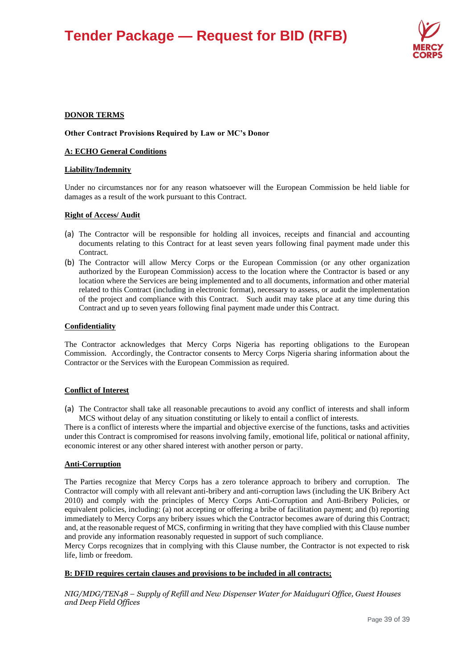

### **DONOR TERMS**

#### **Other Contract Provisions Required by Law or MC's Donor**

#### **A: ECHO General Conditions**

#### **Liability/Indemnity**

Under no circumstances nor for any reason whatsoever will the European Commission be held liable for damages as a result of the work pursuant to this Contract.

#### **Right of Access/ Audit**

- (a) The Contractor will be responsible for holding all invoices, receipts and financial and accounting documents relating to this Contract for at least seven years following final payment made under this **Contract**
- (b) The Contractor will allow Mercy Corps or the European Commission (or any other organization authorized by the European Commission) access to the location where the Contractor is based or any location where the Services are being implemented and to all documents, information and other material related to this Contract (including in electronic format), necessary to assess, or audit the implementation of the project and compliance with this Contract. Such audit may take place at any time during this Contract and up to seven years following final payment made under this Contract.

#### **Confidentiality**

The Contractor acknowledges that Mercy Corps Nigeria has reporting obligations to the European Commission. Accordingly, the Contractor consents to Mercy Corps Nigeria sharing information about the Contractor or the Services with the European Commission as required.

#### **Conflict of Interest**

(a) The Contractor shall take all reasonable precautions to avoid any conflict of interests and shall inform MCS without delay of any situation constituting or likely to entail a conflict of interests.

There is a conflict of interests where the impartial and objective exercise of the functions, tasks and activities under this Contract is compromised for reasons involving family, emotional life, political or national affinity, economic interest or any other shared interest with another person or party.

#### **Anti-Corruption**

The Parties recognize that Mercy Corps has a zero tolerance approach to bribery and corruption. The Contractor will comply with all relevant anti-bribery and anti-corruption laws (including the UK Bribery Act 2010) and comply with the principles of Mercy Corps Anti-Corruption and Anti-Bribery Policies, or equivalent policies, including: (a) not accepting or offering a bribe of facilitation payment; and (b) reporting immediately to Mercy Corps any bribery issues which the Contractor becomes aware of during this Contract; and, at the reasonable request of MCS, confirming in writing that they have complied with this Clause number and provide any information reasonably requested in support of such compliance.

Mercy Corps recognizes that in complying with this Clause number, the Contractor is not expected to risk life, limb or freedom.

#### **B: DFID requires certain clauses and provisions to be included in all contracts;**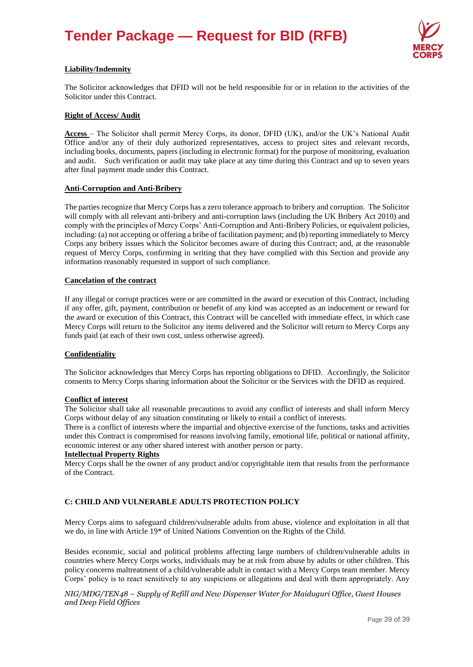

### **Liability/Indemnity**

The Solicitor acknowledges that DFID will not be held responsible for or in relation to the activities of the Solicitor under this Contract.

#### **Right of Access/ Audit**

**Access** – The Solicitor shall permit Mercy Corps, its donor, DFID (UK), and/or the UK's National Audit Office and/or any of their duly authorized representatives, access to project sites and relevant records, including books, documents, papers (including in electronic format) for the purpose of monitoring, evaluation and audit. Such verification or audit may take place at any time during this Contract and up to seven years after final payment made under this Contract.

#### **Anti-Corruption and Anti-Bribery**

The parties recognize that Mercy Corps has a zero tolerance approach to bribery and corruption. The Solicitor will comply with all relevant anti-bribery and anti-corruption laws (including the UK Bribery Act 2010) and comply with the principles of Mercy Corps' Anti-Corruption and Anti-Bribery Policies, or equivalent policies, including: (a) not accepting or offering a bribe of facilitation payment; and (b) reporting immediately to Mercy Corps any bribery issues which the Solicitor becomes aware of during this Contract; and, at the reasonable request of Mercy Corps, confirming in writing that they have complied with this Section and provide any information reasonably requested in support of such compliance.

#### **Cancelation of the contract**

If any illegal or corrupt practices were or are committed in the award or execution of this Contract, including if any offer, gift, payment, contribution or benefit of any kind was accepted as an inducement or reward for the award or execution of this Contract, this Contract will be cancelled with immediate effect, in which case Mercy Corps will return to the Solicitor any items delivered and the Solicitor will return to Mercy Corps any funds paid (at each of their own cost, unless otherwise agreed).

#### **Confidentiality**

The Solicitor acknowledges that Mercy Corps has reporting obligations to DFID. Accordingly, the Solicitor consents to Mercy Corps sharing information about the Solicitor or the Services with the DFID as required.

#### **Conflict of interest**

The Solicitor shall take all reasonable precautions to avoid any conflict of interests and shall inform Mercy Corps without delay of any situation constituting or likely to entail a conflict of interests.

There is a conflict of interests where the impartial and objective exercise of the functions, tasks and activities under this Contract is compromised for reasons involving family, emotional life, political or national affinity, economic interest or any other shared interest with another person or party.

#### **Intellectual Property Rights**

Mercy Corps shall be the owner of any product and/or copyrightable item that results from the performance of the Contract.

#### **C: CHILD AND VULNERABLE ADULTS PROTECTION POLICY**

Mercy Corps aims to safeguard children/vulnerable adults from abuse, violence and exploitation in all that we do, in line with Article 19\* of United Nations Convention on the Rights of the Child.

Besides economic, social and political problems affecting large numbers of children/vulnerable adults in countries where Mercy Corps works, individuals may be at risk from abuse by adults or other children. This policy concerns maltreatment of a child/vulnerable adult in contact with a Mercy Corps team member. Mercy Corps' policy is to react sensitively to any suspicions or allegations and deal with them appropriately. Any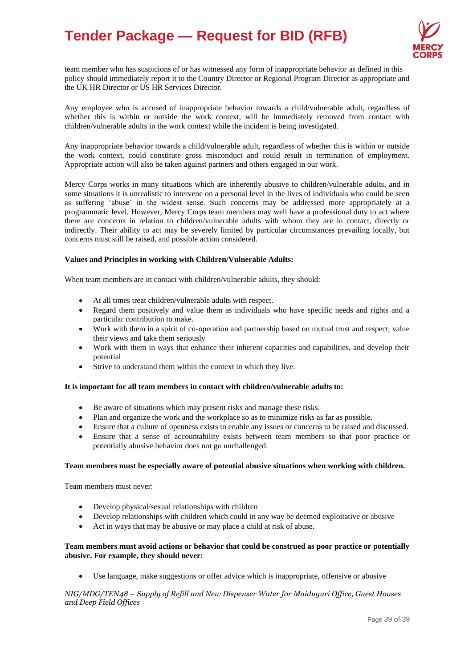

team member who has suspicions of or has witnessed any form of inappropriate behavior as defined in this policy should immediately report it to the Country Director or Regional Program Director as appropriate and the UK HR Director or US HR Services Director.

Any employee who is accused of inappropriate behavior towards a child/vulnerable adult, regardless of whether this is within or outside the work context, will be immediately removed from contact with children/vulnerable adults in the work context while the incident is being investigated.

Any inappropriate behavior towards a child/vulnerable adult, regardless of whether this is within or outside the work context, could constitute gross misconduct and could result in termination of employment. Appropriate action will also be taken against partners and others engaged in our work.

Mercy Corps works in many situations which are inherently abusive to children/vulnerable adults, and in some situations it is unrealistic to intervene on a personal level in the lives of individuals who could be seen as suffering 'abuse' in the widest sense. Such concerns may be addressed more appropriately at a programmatic level. However, Mercy Corps team members may well have a professional duty to act where there are concerns in relation to children/vulnerable adults with whom they are in contact, directly or indirectly. Their ability to act may be severely limited by particular circumstances prevailing locally, but concerns must still be raised, and possible action considered.

#### **Values and Principles in working with Children/Vulnerable Adults:**

When team members are in contact with children/vulnerable adults, they should:

- At all times treat children/vulnerable adults with respect.
- Regard them positively and value them as individuals who have specific needs and rights and a particular contribution to make.
- Work with them in a spirit of co-operation and partnership based on mutual trust and respect; value their views and take them seriously
- Work with them in ways that enhance their inherent capacities and capabilities, and develop their potential
- Strive to understand them within the context in which they live.

#### **It is important for all team members in contact with children/vulnerable adults to:**

- Be aware of situations which may present risks and manage these risks.
- Plan and organize the work and the workplace so as to minimize risks as far as possible.
- Ensure that a culture of openness exists to enable any issues or concerns to be raised and discussed.
- Ensure that a sense of accountability exists between team members so that poor practice or potentially abusive behavior does not go unchallenged.

#### **Team members must be especially aware of potential abusive situations when working with children.**

Team members must never:

- Develop physical/sexual relationships with children
- Develop relationships with children which could in any way be deemed exploitative or abusive
- Act in ways that may be abusive or may place a child at risk of abuse.

#### **Team members must avoid actions or behavior that could be construed as poor practice or potentially abusive. For example, they should never:**

• Use language, make suggestions or offer advice which is inappropriate, offensive or abusive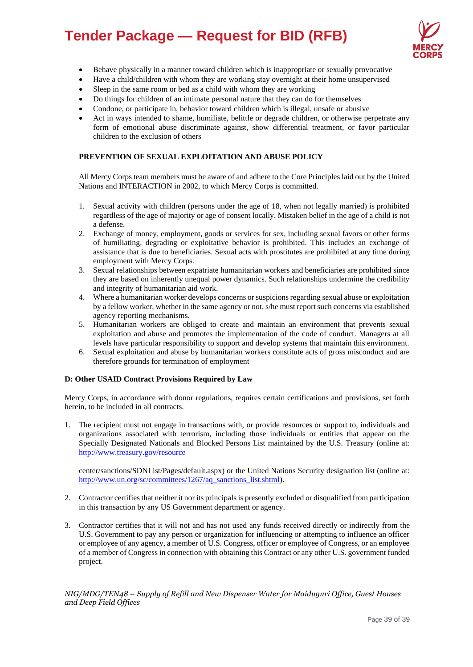

- Behave physically in a manner toward children which is inappropriate or sexually provocative
- Have a child/children with whom they are working stay overnight at their home unsupervised
- Sleep in the same room or bed as a child with whom they are working
- Do things for children of an intimate personal nature that they can do for themselves
- Condone, or participate in, behavior toward children which is illegal, unsafe or abusive
- Act in ways intended to shame, humiliate, belittle or degrade children, or otherwise perpetrate any form of emotional abuse discriminate against, show differential treatment, or favor particular children to the exclusion of others

#### **PREVENTION OF SEXUAL EXPLOITATION AND ABUSE POLICY**

All Mercy Corps team members must be aware of and adhere to the Core Principles laid out by the United Nations and INTERACTION in 2002, to which Mercy Corps is committed.

- 1. Sexual activity with children (persons under the age of 18, when not legally married) is prohibited regardless of the age of majority or age of consent locally. Mistaken belief in the age of a child is not a defense.
- 2. Exchange of money, employment, goods or services for sex, including sexual favors or other forms of humiliating, degrading or exploitative behavior is prohibited. This includes an exchange of assistance that is due to beneficiaries. Sexual acts with prostitutes are prohibited at any time during employment with Mercy Corps.
- 3. Sexual relationships between expatriate humanitarian workers and beneficiaries are prohibited since they are based on inherently unequal power dynamics. Such relationships undermine the credibility and integrity of humanitarian aid work.
- 4. Where a humanitarian worker develops concerns or suspicions regarding sexual abuse or exploitation by a fellow worker, whether in the same agency or not, s/he must report such concerns via established agency reporting mechanisms.
- 5. Humanitarian workers are obliged to create and maintain an environment that prevents sexual exploitation and abuse and promotes the implementation of the code of conduct. Managers at all levels have particular responsibility to support and develop systems that maintain this environment.
- 6. Sexual exploitation and abuse by humanitarian workers constitute acts of gross misconduct and are therefore grounds for termination of employment

#### **D: Other USAID Contract Provisions Required by Law**

Mercy Corps, in accordance with donor regulations, requires certain certifications and provisions, set forth herein, to be included in all contracts.

1. The recipient must not engage in transactions with, or provide resources or support to, individuals and organizations associated with terrorism, including those individuals or entities that appear on the Specially Designated Nationals and Blocked Persons List maintained by the U.S. Treasury (online at: <http://www.treasury.gov/resource>

center/sanctions/SDNList/Pages/default.aspx) or the United Nations Security designation list (online at: [http://www.un.org/sc/committees/1267/aq\\_sanctions\\_list.shtml\)](http://www.un.org/sc/committees/1267/aq_sanctions_list.shtml).

- 2. Contractor certifies that neither it nor its principals is presently excluded or disqualified from participation in this transaction by any US Government department or agency.
- 3. Contractor certifies that it will not and has not used any funds received directly or indirectly from the U.S. Government to pay any person or organization for influencing or attempting to influence an officer or employee of any agency, a member of U.S. Congress, officer or employee of Congress, or an employee of a member of Congress in connection with obtaining this Contract or any other U.S. government funded project.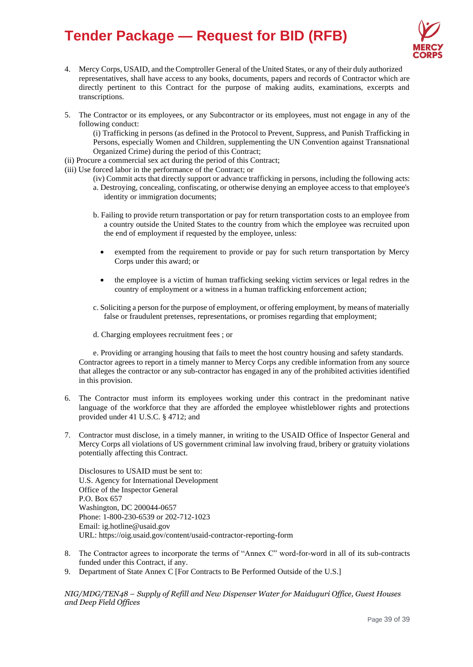

- 4. Mercy Corps, USAID, and the Comptroller General of the United States, or any of their duly authorized representatives, shall have access to any books, documents, papers and records of Contractor which are directly pertinent to this Contract for the purpose of making audits, examinations, excerpts and transcriptions.
- 5. The Contractor or its employees, or any Subcontractor or its employees, must not engage in any of the following conduct:

(i) Trafficking in persons (as defined in the Protocol to Prevent, Suppress, and Punish Trafficking in Persons, especially Women and Children, supplementing the UN Convention against Transnational Organized Crime) during the period of this Contract;

(ii) Procure a commercial sex act during the period of this Contract;

- (iii) Use forced labor in the performance of the Contract; or
	- (iv) Commit acts that directly support or advance trafficking in persons, including the following acts: a. Destroying, concealing, confiscating, or otherwise denying an employee access to that employee's identity or immigration documents;
	- b. Failing to provide return transportation or pay for return transportation costs to an employee from a country outside the United States to the country from which the employee was recruited upon the end of employment if requested by the employee, unless:
		- exempted from the requirement to provide or pay for such return transportation by Mercy Corps under this award; or
		- the employee is a victim of human trafficking seeking victim services or legal redres in the country of employment or a witness in a human trafficking enforcement action;
	- c. Soliciting a person for the purpose of employment, or offering employment, by means of materially false or fraudulent pretenses, representations, or promises regarding that employment;
	- d. Charging employees recruitment fees ; or

e. Providing or arranging housing that fails to meet the host country housing and safety standards. Contractor agrees to report in a timely manner to Mercy Corps any credible information from any source that alleges the contractor or any sub-contractor has engaged in any of the prohibited activities identified in this provision.

- 6. The Contractor must inform its employees working under this contract in the predominant native language of the workforce that they are afforded the employee whistleblower rights and protections provided under 41 U.S.C. § 4712; and
- 7. Contractor must disclose, in a timely manner, in writing to the USAID Office of Inspector General and Mercy Corps all violations of US government criminal law involving fraud, bribery or gratuity violations potentially affecting this Contract.

Disclosures to USAID must be sent to: U.S. Agency for International Development Office of the Inspector General P.O. Box 657 Washington, DC 200044-0657 Phone: 1-800-230-6539 or 202-712-1023 Email[: ig.hotline@usaid.gov](mailto:ig.hotline@usaid.gov) URL: https://oig.usaid.gov/content/usaid-contractor-reporting-form

- 8. The Contractor agrees to incorporate the terms of "Annex C" word-for-word in all of its sub-contracts funded under this Contract, if any.
- 9. Department of State Annex C [For Contracts to Be Performed Outside of the U.S.]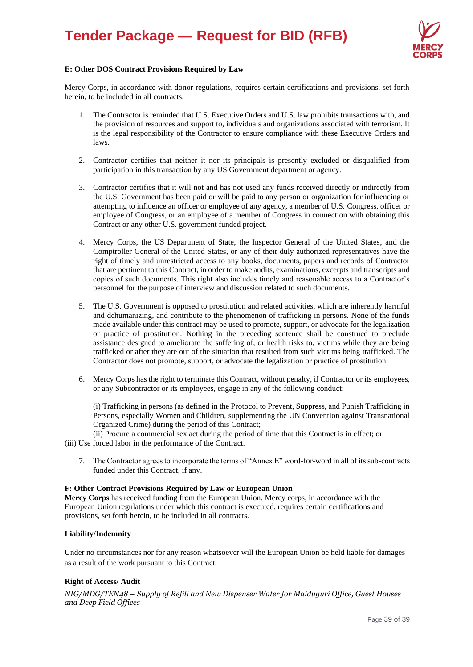

#### **E: Other DOS Contract Provisions Required by Law**

Mercy Corps, in accordance with donor regulations, requires certain certifications and provisions, set forth herein, to be included in all contracts.

- 1. The Contractor is reminded that U.S. Executive Orders and U.S. law prohibits transactions with, and the provision of resources and support to, individuals and organizations associated with terrorism. It is the legal responsibility of the Contractor to ensure compliance with these Executive Orders and laws.
- 2. Contractor certifies that neither it nor its principals is presently excluded or disqualified from participation in this transaction by any US Government department or agency.
- 3. Contractor certifies that it will not and has not used any funds received directly or indirectly from the U.S. Government has been paid or will be paid to any person or organization for influencing or attempting to influence an officer or employee of any agency, a member of U.S. Congress, officer or employee of Congress, or an employee of a member of Congress in connection with obtaining this Contract or any other U.S. government funded project.
- 4. Mercy Corps, the US Department of State, the Inspector General of the United States, and the Comptroller General of the United States, or any of their duly authorized representatives have the right of timely and unrestricted access to any books, documents, papers and records of Contractor that are pertinent to this Contract, in order to make audits, examinations, excerpts and transcripts and copies of such documents. This right also includes timely and reasonable access to a Contractor's personnel for the purpose of interview and discussion related to such documents.
- 5. The U.S. Government is opposed to prostitution and related activities, which are inherently harmful and dehumanizing, and contribute to the phenomenon of trafficking in persons. None of the funds made available under this contract may be used to promote, support, or advocate for the legalization or practice of prostitution. Nothing in the preceding sentence shall be construed to preclude assistance designed to ameliorate the suffering of, or health risks to, victims while they are being trafficked or after they are out of the situation that resulted from such victims being trafficked. The Contractor does not promote, support, or advocate the legalization or practice of prostitution.
- 6. Mercy Corps has the right to terminate this Contract, without penalty, if Contractor or its employees, or any Subcontractor or its employees, engage in any of the following conduct:

(i) Trafficking in persons (as defined in the Protocol to Prevent, Suppress, and Punish Trafficking in Persons, especially Women and Children, supplementing the UN Convention against Transnational Organized Crime) during the period of this Contract;

(ii) Procure a commercial sex act during the period of time that this Contract is in effect; or (iii) Use forced labor in the performance of the Contract.

7. The Contractor agrees to incorporate the terms of "Annex E" word-for-word in all of its sub-contracts funded under this Contract, if any.

#### **F: Other Contract Provisions Required by Law or European Union**

**Mercy Corps** has received funding from the European Union. Mercy corps, in accordance with the European Union regulations under which this contract is executed, requires certain certifications and provisions, set forth herein, to be included in all contracts.

#### **Liability/Indemnity**

Under no circumstances nor for any reason whatsoever will the European Union be held liable for damages as a result of the work pursuant to this Contract.

#### **Right of Access/ Audit**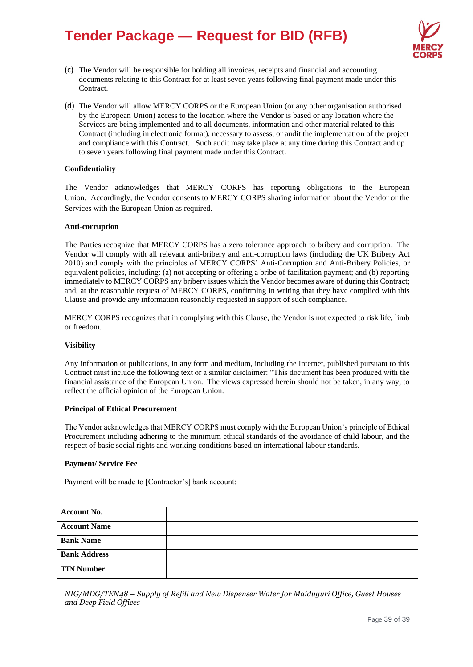

- (c) The Vendor will be responsible for holding all invoices, receipts and financial and accounting documents relating to this Contract for at least seven years following final payment made under this Contract.
- (d) The Vendor will allow MERCY CORPS or the European Union (or any other organisation authorised by the European Union) access to the location where the Vendor is based or any location where the Services are being implemented and to all documents, information and other material related to this Contract (including in electronic format), necessary to assess, or audit the implementation of the project and compliance with this Contract. Such audit may take place at any time during this Contract and up to seven years following final payment made under this Contract.

#### **Confidentiality**

The Vendor acknowledges that MERCY CORPS has reporting obligations to the European Union. Accordingly, the Vendor consents to MERCY CORPS sharing information about the Vendor or the Services with the European Union as required.

#### **Anti-corruption**

The Parties recognize that MERCY CORPS has a zero tolerance approach to bribery and corruption. The Vendor will comply with all relevant anti-bribery and anti-corruption laws (including the UK Bribery Act 2010) and comply with the principles of MERCY CORPS' Anti-Corruption and Anti-Bribery Policies, or equivalent policies, including: (a) not accepting or offering a bribe of facilitation payment; and (b) reporting immediately to MERCY CORPS any bribery issues which the Vendor becomes aware of during this Contract; and, at the reasonable request of MERCY CORPS, confirming in writing that they have complied with this Clause and provide any information reasonably requested in support of such compliance.

MERCY CORPS recognizes that in complying with this Clause, the Vendor is not expected to risk life, limb or freedom.

#### **Visibility**

Any information or publications, in any form and medium, including the Internet, published pursuant to this Contract must include the following text or a similar disclaimer: "This document has been produced with the financial assistance of the European Union. The views expressed herein should not be taken, in any way, to reflect the official opinion of the European Union.

#### **Principal of Ethical Procurement**

The Vendor acknowledges that MERCY CORPS must comply with the European Union's principle of Ethical Procurement including adhering to the minimum ethical standards of the avoidance of child labour, and the respect of basic social rights and working conditions based on international labour standards.

#### **Payment/ Service Fee**

Payment will be made to [Contractor's] bank account:

| <b>Account No.</b>  |  |
|---------------------|--|
| <b>Account Name</b> |  |
| <b>Bank Name</b>    |  |
| <b>Bank Address</b> |  |
| <b>TIN Number</b>   |  |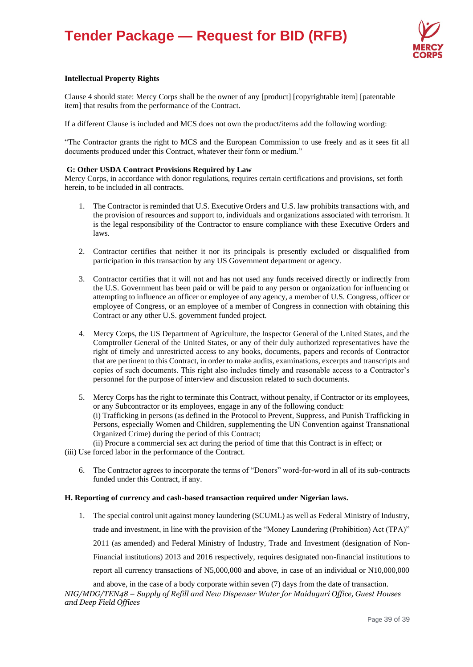

#### **Intellectual Property Rights**

Clause 4 should state: Mercy Corps shall be the owner of any [product] [copyrightable item] [patentable item] that results from the performance of the Contract.

If a different Clause is included and MCS does not own the product/items add the following wording:

"The Contractor grants the right to MCS and the European Commission to use freely and as it sees fit all documents produced under this Contract, whatever their form or medium."

#### **G: Other USDA Contract Provisions Required by Law**

Mercy Corps, in accordance with donor regulations, requires certain certifications and provisions, set forth herein, to be included in all contracts.

- 1. The Contractor is reminded that U.S. Executive Orders and U.S. law prohibits transactions with, and the provision of resources and support to, individuals and organizations associated with terrorism. It is the legal responsibility of the Contractor to ensure compliance with these Executive Orders and laws.
- 2. Contractor certifies that neither it nor its principals is presently excluded or disqualified from participation in this transaction by any US Government department or agency.
- 3. Contractor certifies that it will not and has not used any funds received directly or indirectly from the U.S. Government has been paid or will be paid to any person or organization for influencing or attempting to influence an officer or employee of any agency, a member of U.S. Congress, officer or employee of Congress, or an employee of a member of Congress in connection with obtaining this Contract or any other U.S. government funded project.
- 4. Mercy Corps, the US Department of Agriculture, the Inspector General of the United States, and the Comptroller General of the United States, or any of their duly authorized representatives have the right of timely and unrestricted access to any books, documents, papers and records of Contractor that are pertinent to this Contract, in order to make audits, examinations, excerpts and transcripts and copies of such documents. This right also includes timely and reasonable access to a Contractor's personnel for the purpose of interview and discussion related to such documents.
- 5. Mercy Corps has the right to terminate this Contract, without penalty, if Contractor or its employees, or any Subcontractor or its employees, engage in any of the following conduct: (i) Trafficking in persons (as defined in the Protocol to Prevent, Suppress, and Punish Trafficking in Persons, especially Women and Children, supplementing the UN Convention against Transnational Organized Crime) during the period of this Contract; (ii) Procure a commercial sex act during the period of time that this Contract is in effect; or
- (iii) Use forced labor in the performance of the Contract.
	- 6. The Contractor agrees to incorporate the terms of "Donors" word-for-word in all of its sub-contracts funded under this Contract, if any.

#### **H. Reporting of currency and cash-based transaction required under Nigerian laws.**

1. The special control unit against money laundering (SCUML) as well as Federal Ministry of Industry, trade and investment, in line with the provision of the "Money Laundering (Prohibition) Act (TPA)" 2011 (as amended) and Federal Ministry of Industry, Trade and Investment (designation of Non-Financial institutions) 2013 and 2016 respectively, requires designated non-financial institutions to report all currency transactions of N5,000,000 and above, in case of an individual or N10,000,000

*NIG/MDG/TEN48 – Supply of Refill and New Dispenser Water for Maiduguri Office, Guest Houses and Deep Field Offices* and above, in the case of a body corporate within seven (7) days from the date of transaction.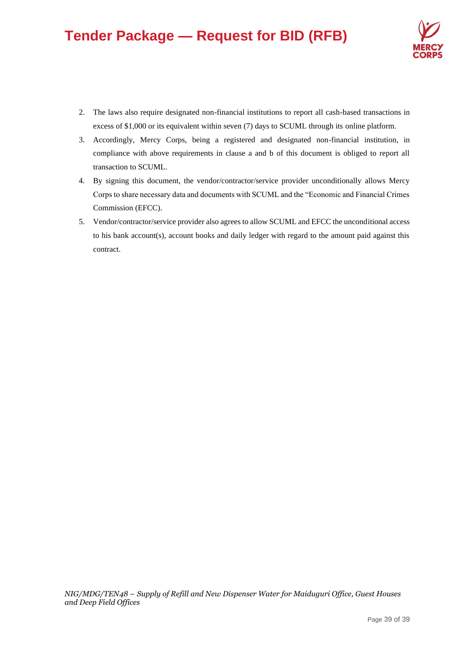

- 2. The laws also require designated non-financial institutions to report all cash-based transactions in excess of \$1,000 or its equivalent within seven (7) days to SCUML through its online platform.
- 3. Accordingly, Mercy Corps, being a registered and designated non-financial institution, in compliance with above requirements in clause a and b of this document is obliged to report all transaction to SCUML.
- 4. By signing this document, the vendor/contractor/service provider unconditionally allows Mercy Corps to share necessary data and documents with SCUML and the "Economic and Financial Crimes Commission (EFCC).
- 5. Vendor/contractor/service provider also agrees to allow SCUML and EFCC the unconditional access to his bank account(s), account books and daily ledger with regard to the amount paid against this contract.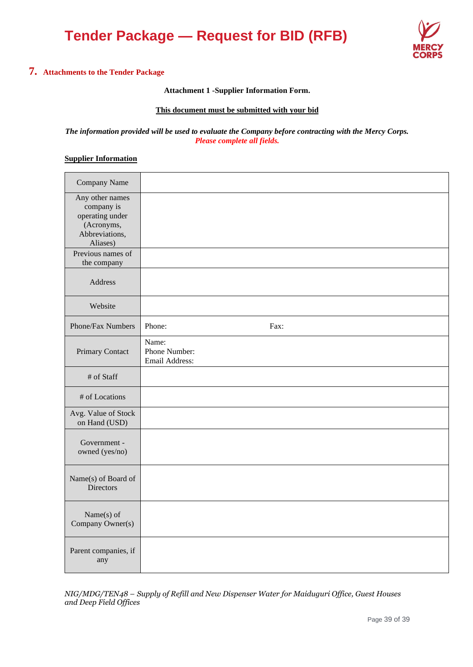

# **7. Attachments to the Tender Package**

### **Attachment 1 -Supplier Information Form.**

### **This document must be submitted with your bid**

#### *The information provided will be used to evaluate the Company before contracting with the Mercy Corps. Please complete all fields.*

## **Supplier Information**

| Company Name                                                                                 |                                          |
|----------------------------------------------------------------------------------------------|------------------------------------------|
| Any other names<br>company is<br>operating under<br>(Acronyms,<br>Abbreviations,<br>Aliases) |                                          |
| Previous names of<br>the company                                                             |                                          |
| Address                                                                                      |                                          |
| Website                                                                                      |                                          |
| Phone/Fax Numbers                                                                            | Phone:<br>Fax:                           |
| Primary Contact                                                                              | Name:<br>Phone Number:<br>Email Address: |
| # of Staff                                                                                   |                                          |
| # of Locations                                                                               |                                          |
| Avg. Value of Stock<br>on Hand (USD)                                                         |                                          |
| Government -<br>owned (yes/no)                                                               |                                          |
| Name(s) of Board of<br><b>Directors</b>                                                      |                                          |
| Name(s) of<br>Company Owner(s)                                                               |                                          |
| Parent companies, if<br>any                                                                  |                                          |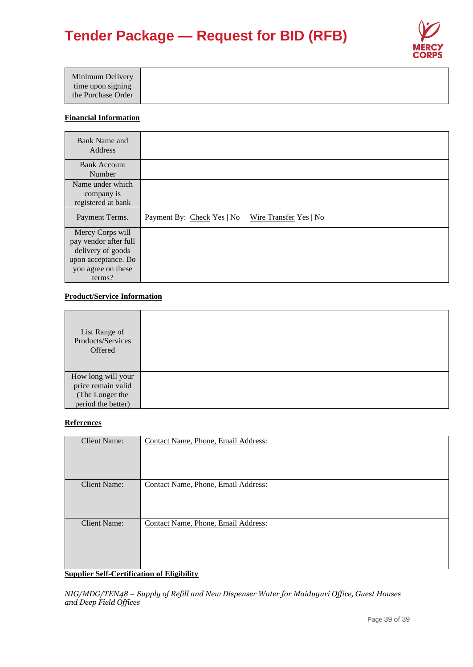

### **Financial Information**

| Bank Name and<br>Address                                                                                    |                                                      |
|-------------------------------------------------------------------------------------------------------------|------------------------------------------------------|
| <b>Bank Account</b><br>Number                                                                               |                                                      |
| Name under which<br>company is<br>registered at bank                                                        |                                                      |
| Payment Terms.                                                                                              | Payment By: Check Yes   No<br>Wire Transfer Yes   No |
| Mercy Corps will<br>pay vendor after full<br>delivery of goods<br>upon acceptance. Do<br>you agree on these |                                                      |

# **Product/Service Information**

| List Range of<br>Products/Services<br>Offered |  |
|-----------------------------------------------|--|
| How long will your                            |  |
| price remain valid                            |  |
| (The Longer the                               |  |
| period the better)                            |  |

## **References**

| <b>Client Name:</b>                                                           | Contact Name, Phone, Email Address:                             |
|-------------------------------------------------------------------------------|-----------------------------------------------------------------|
| <b>Client Name:</b>                                                           | Contact Name, Phone, Email Address:                             |
| <b>Client Name:</b><br>$\sim$<br>$\alpha$ is $\alpha$ is $\alpha$<br>$\cdots$ | Contact Name, Phone, Email Address:<br>$\cdot$<br>0.7711.11.11. |

## **Supplier Self-Certification of Eligibility**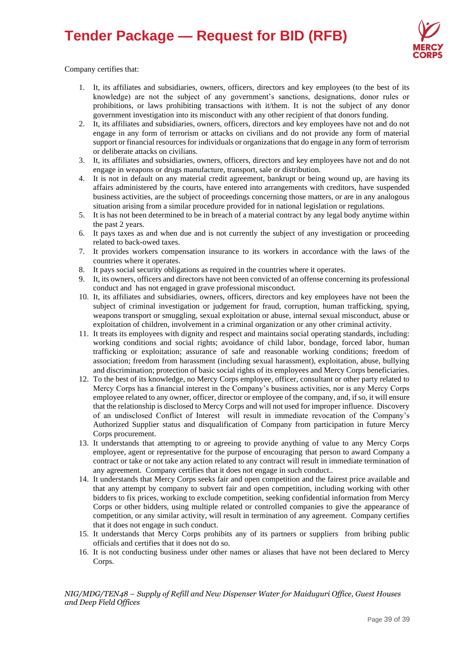

Company certifies that:

- 1. It, its affiliates and subsidiaries, owners, officers, directors and key employees (to the best of its knowledge) are not the subject of any government's sanctions, designations, donor rules or prohibitions, or laws prohibiting transactions with it/them. It is not the subject of any donor government investigation into its misconduct with any other recipient of that donors funding.
- 2. It, its affiliates and subsidiaries, owners, officers, directors and key employees have not and do not engage in any form of terrorism or attacks on civilians and do not provide any form of material support or financial resources for individuals or organizations that do engage in any form of terrorism or deliberate attacks on civilians.
- 3. It, its affiliates and subsidiaries, owners, officers, directors and key employees have not and do not engage in weapons or drugs manufacture, transport, sale or distribution.
- 4. It is not in default on any material credit agreement, bankrupt or being wound up, are having its affairs administered by the courts, have entered into arrangements with creditors, have suspended business activities, are the subject of proceedings concerning those matters, or are in any analogous situation arising from a similar procedure provided for in national legislation or regulations.
- 5. It is has not been determined to be in breach of a material contract by any legal body anytime within the past 2 years.
- 6. It pays taxes as and when due and is not currently the subject of any investigation or proceeding related to back-owed taxes.
- 7. It provides workers compensation insurance to its workers in accordance with the laws of the countries where it operates.
- 8. It pays social security obligations as required in the countries where it operates.
- 9. It, its owners, officers and directors have not been convicted of an offense concerning its professional conduct and has not engaged in grave professional misconduct.
- 10. It, its affiliates and subsidiaries, owners, officers, directors and key employees have not been the subject of criminal investigation or judgement for fraud, corruption, human trafficking, spying, weapons transport or smuggling, sexual exploitation or abuse, internal sexual misconduct, abuse or exploitation of children, involvement in a criminal organization or any other criminal activity.
- 11. It treats its employees with dignity and respect and maintains social operating standards, including: working conditions and social rights; avoidance of child labor, bondage, forced labor, human trafficking or exploitation; assurance of safe and reasonable working conditions; freedom of association; freedom from harassment (including sexual harassment), exploitation, abuse, bullying and discrimination; protection of basic social rights of its employees and Mercy Corps beneficiaries.
- 12. To the best of its knowledge, no Mercy Corps employee, officer, consultant or other party related to Mercy Corps has a financial interest in the Company's business activities, nor is any Mercy Corps employee related to any owner, officer, director or employee of the company, and, if so, it will ensure that the relationship is disclosed to Mercy Corps and will not used for improper influence. Discovery of an undisclosed Conflict of Interest will result in immediate revocation of the Company's Authorized Supplier status and disqualification of Company from participation in future Mercy Corps procurement.
- 13. It understands that attempting to or agreeing to provide anything of value to any Mercy Corps employee, agent or representative for the purpose of encouraging that person to award Company a contract or take or not take any action related to any contract will result in immediate termination of any agreement. Company certifies that it does not engage in such conduct..
- 14. It understands that Mercy Corps seeks fair and open competition and the fairest price available and that any attempt by company to subvert fair and open competition, including working with other bidders to fix prices, working to exclude competition, seeking confidential information from Mercy Corps or other bidders, using multiple related or controlled companies to give the appearance of competition, or any similar activity, will result in termination of any agreement. Company certifies that it does not engage in such conduct.
- 15. It understands that Mercy Corps prohibits any of its partners or suppliers from bribing public officials and certifies that it does not do so.
- 16. It is not conducting business under other names or aliases that have not been declared to Mercy Corps.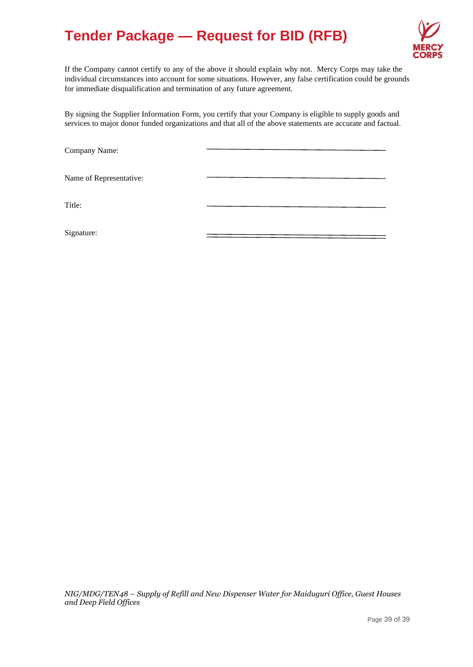

If the Company cannot certify to any of the above it should explain why not. Mercy Corps may take the individual circumstances into account for some situations. However, any false certification could be grounds for immediate disqualification and termination of any future agreement.

By signing the Supplier Information Form, you certify that your Company is eligible to supply goods and services to major donor funded organizations and that all of the above statements are accurate and factual.

Company Name:

Name of Representative:

Title:

Signature: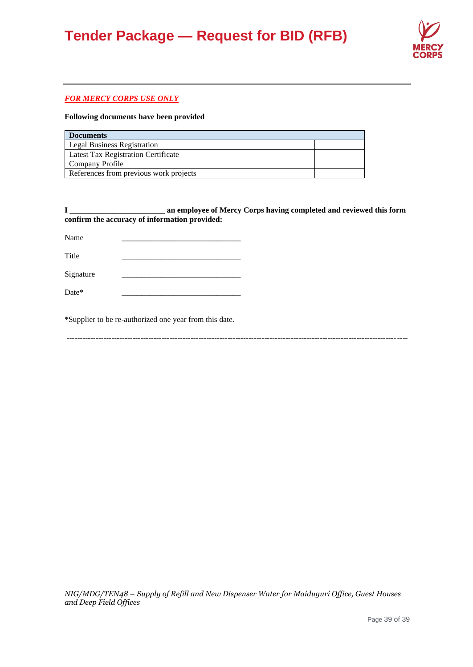

### *FOR MERCY CORPS USE ONLY*

### **Following documents have been provided**

| <b>Documents</b>                           |  |  |
|--------------------------------------------|--|--|
| <b>Legal Business Registration</b>         |  |  |
| <b>Latest Tax Registration Certificate</b> |  |  |
| Company Profile                            |  |  |
| References from previous work projects     |  |  |

|                                               | an employee of Mercy Corps having completed and reviewed this form |
|-----------------------------------------------|--------------------------------------------------------------------|
| confirm the accuracy of information provided: |                                                                    |

| Name      |  |
|-----------|--|
| Title     |  |
| Signature |  |
| Date*     |  |

\*Supplier to be re-authorized one year from this date.

**---------------------------------------------------------------------------------------------------------------------------------**